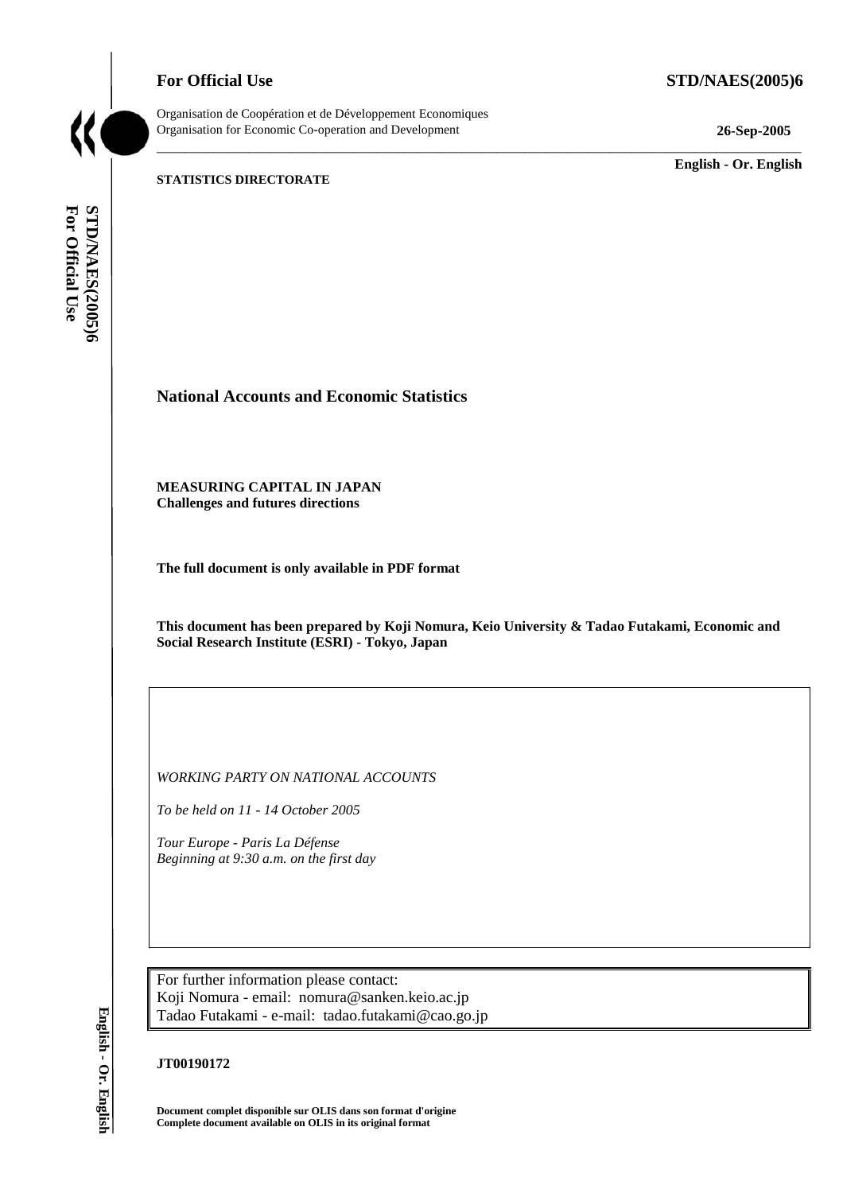**For Official Use STD/NAES(2005)6** 



Organisation de Coopération et de Développement Economiques Organisation for Economic Co-operation and Development **26-Sep-2005** 

\_\_\_\_\_\_\_\_\_\_\_\_\_ **English - Or. English** 

#### **STATISTICS DIRECTORATE**

For Official Use STD/NAES(2005)6 **For Official Use STD/NAES(2005)6 English - Or. English**

**National Accounts and Economic Statistics** 

**MEASURING CAPITAL IN JAPAN Challenges and futures directions** 

**The full document is only available in PDF format** 

**This document has been prepared by Koji Nomura, Keio University & Tadao Futakami, Economic and Social Research Institute (ESRI) - Tokyo, Japan** 

\_\_\_\_\_\_\_\_\_\_\_\_\_\_\_\_\_\_\_\_\_\_\_\_\_\_\_\_\_\_\_\_\_\_\_\_\_\_\_\_\_\_\_\_\_\_\_\_\_\_\_\_\_\_\_\_\_\_\_\_\_\_\_\_\_\_\_\_\_\_\_\_\_\_\_\_\_\_\_\_\_\_\_\_\_\_\_\_\_\_\_

*WORKING PARTY ON NATIONAL ACCOUNTS* 

*To be held on 11 - 14 October 2005* 

*Tour Europe - Paris La Défense Beginning at 9:30 a.m. on the first day* 

For further information please contact: Koji Nomura - email: nomura@sanken.keio.ac.jp Tadao Futakami - e-mail: tadao.futakami@cao.go.jp

### **JT00190172**

**Document complet disponible sur OLIS dans son format d'origine Complete document available on OLIS in its original format**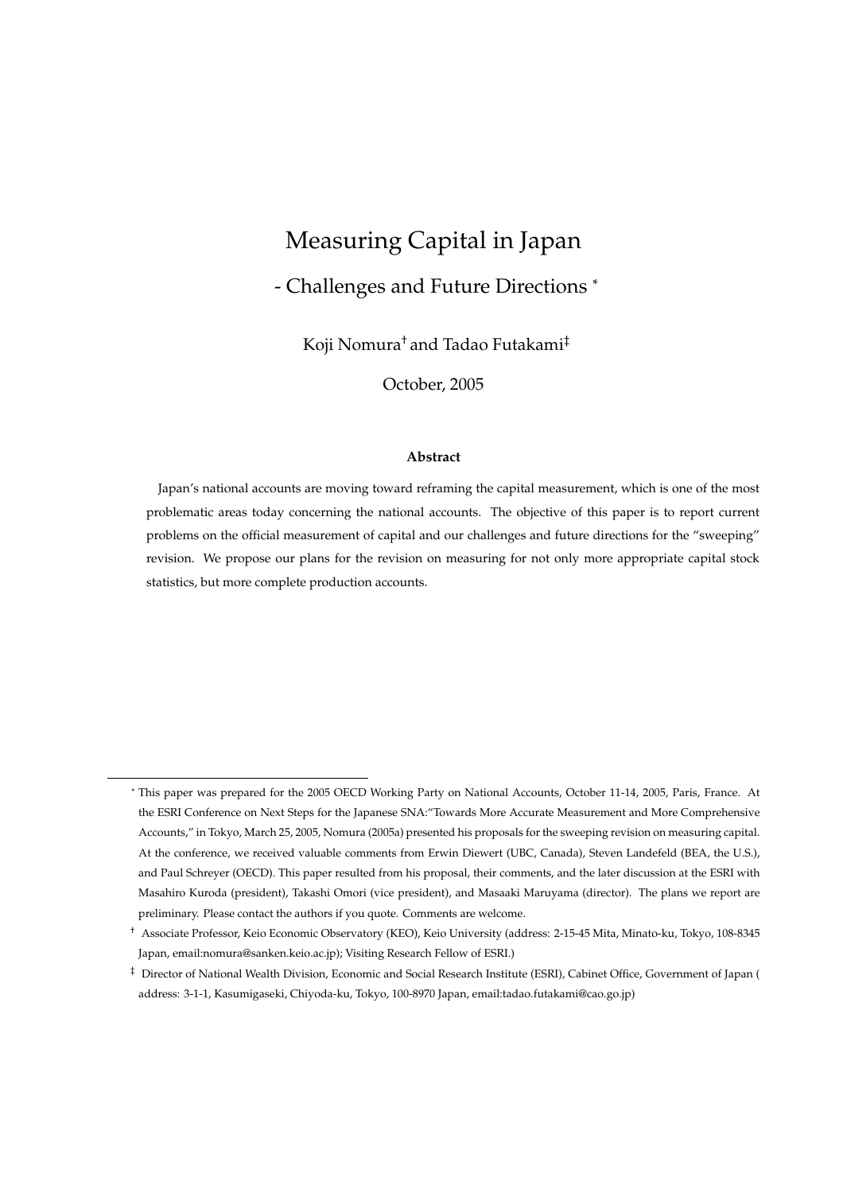# Measuring Capital in Japan

## - Challenges and Future Directions <sup>∗</sup>

Koji Nomura† and Tadao Futakami‡

October, 2005

#### **Abstract**

Japan's national accounts are moving toward reframing the capital measurement, which is one of the most problematic areas today concerning the national accounts. The objective of this paper is to report current problems on the official measurement of capital and our challenges and future directions for the "sweeping" revision. We propose our plans for the revision on measuring for not only more appropriate capital stock statistics, but more complete production accounts.

<sup>∗</sup> This paper was prepared for the 2005 OECD Working Party on National Accounts, October 11-14, 2005, Paris, France. At the ESRI Conference on Next Steps for the Japanese SNA:"Towards More Accurate Measurement and More Comprehensive Accounts," in Tokyo, March 25, 2005, Nomura (2005a) presented his proposals for the sweeping revision on measuring capital. At the conference, we received valuable comments from Erwin Diewert (UBC, Canada), Steven Landefeld (BEA, the U.S.), and Paul Schreyer (OECD). This paper resulted from his proposal, their comments, and the later discussion at the ESRI with Masahiro Kuroda (president), Takashi Omori (vice president), and Masaaki Maruyama (director). The plans we report are preliminary. Please contact the authors if you quote. Comments are welcome.

<sup>†</sup> Associate Professor, Keio Economic Observatory (KEO), Keio University (address: 2-15-45 Mita, Minato-ku, Tokyo, 108-8345 Japan, email:nomura@sanken.keio.ac.jp); Visiting Research Fellow of ESRI.)

<sup>‡</sup> Director of National Wealth Division, Economic and Social Research Institute (ESRI), Cabinet Office, Government of Japan ( address: 3-1-1, Kasumigaseki, Chiyoda-ku, Tokyo, 100-8970 Japan, email:tadao.futakami@cao.go.jp)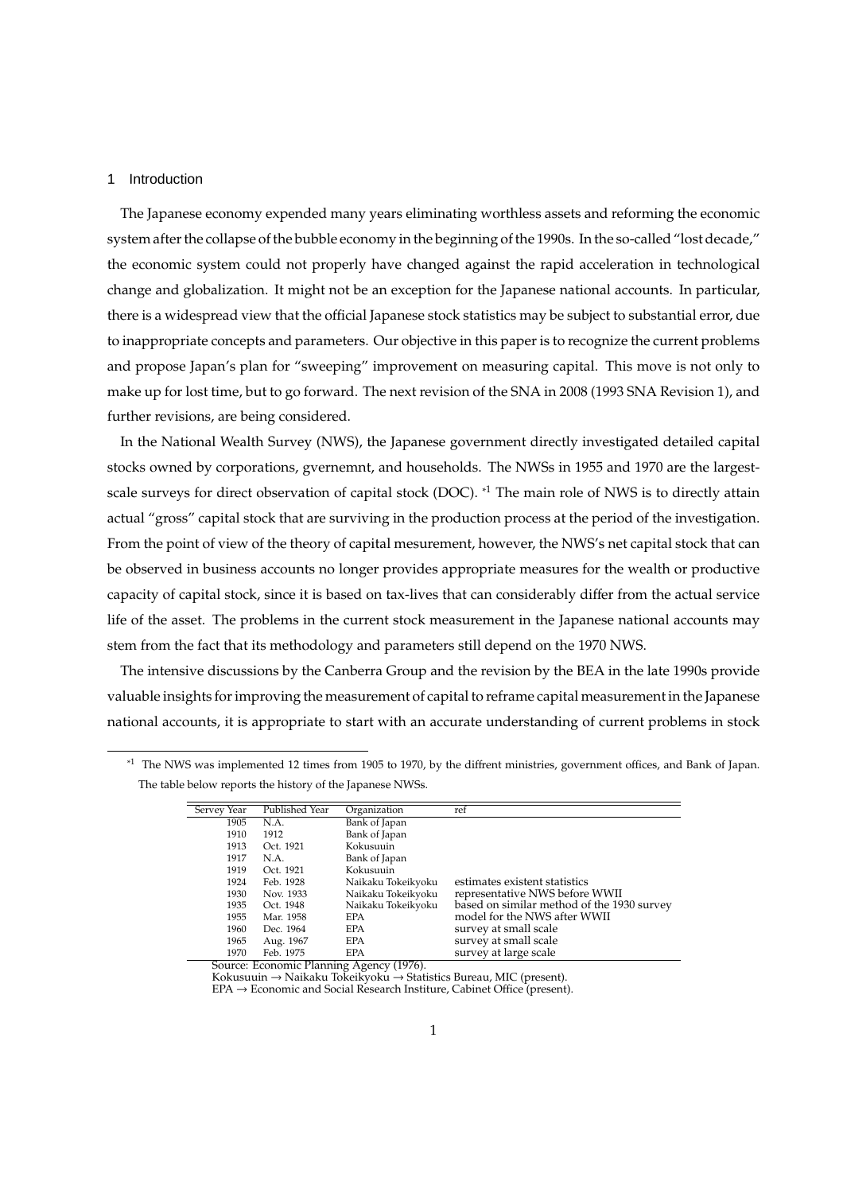#### 1 Introduction

The Japanese economy expended many years eliminating worthless assets and reforming the economic system after the collapse of the bubble economy in the beginning of the 1990s. In the so-called "lost decade," the economic system could not properly have changed against the rapid acceleration in technological change and globalization. It might not be an exception for the Japanese national accounts. In particular, there is a widespread view that the official Japanese stock statistics may be subject to substantial error, due to inappropriate concepts and parameters. Our objective in this paper is to recognize the current problems and propose Japan's plan for "sweeping" improvement on measuring capital. This move is not only to make up for lost time, but to go forward. The next revision of the SNA in 2008 (1993 SNA Revision 1), and further revisions, are being considered.

In the National Wealth Survey (NWS), the Japanese government directly investigated detailed capital stocks owned by corporations, gvernemnt, and households. The NWSs in 1955 and 1970 are the largestscale surveys for direct observation of capital stock (DOC). <sup>\*1</sup> The main role of NWS is to directly attain actual "gross" capital stock that are surviving in the production process at the period of the investigation. From the point of view of the theory of capital mesurement, however, the NWS's net capital stock that can be observed in business accounts no longer provides appropriate measures for the wealth or productive capacity of capital stock, since it is based on tax-lives that can considerably differ from the actual service life of the asset. The problems in the current stock measurement in the Japanese national accounts may stem from the fact that its methodology and parameters still depend on the 1970 NWS.

The intensive discussions by the Canberra Group and the revision by the BEA in the late 1990s provide valuable insights for improving the measurement of capital to reframe capital measurement in the Japanese national accounts, it is appropriate to start with an accurate understanding of current problems in stock

<sup>\*1</sup> The NWS was implemented 12 times from 1905 to 1970, by the diffrent ministries, government offices, and Bank of Japan. The table below reports the history of the Japanese NWSs.

| Servey Year                      | Published Year                        | Organization               | ref                                        |
|----------------------------------|---------------------------------------|----------------------------|--------------------------------------------|
| 1905                             | N.A.                                  | Bank of Japan              |                                            |
| 1910                             | 1912                                  | Bank of Japan              |                                            |
| 1913                             | Oct. 1921                             | Kokusuuin                  |                                            |
| 1917                             | N.A.                                  | Bank of Japan              |                                            |
| 1919                             | Oct. 1921                             | Kokusuuin                  |                                            |
| 1924                             | Feb. 1928                             | Naikaku Tokeikyoku         | estimates existent statistics              |
| 1930                             | Nov. 1933                             | Naikaku Tokeikyoku         | representative NWS before WWII             |
| 1935                             | Oct. 1948                             | Naikaku Tokeikyoku         | based on similar method of the 1930 survey |
| 1955                             | Mar. 1958                             | <b>EPA</b>                 | model for the NWS after WWII               |
| 1960                             | Dec. 1964                             | <b>EPA</b>                 | survey at small scale                      |
| 1965                             | Aug. 1967                             | <b>EPA</b>                 | survey at small scale                      |
| 1970<br>$\overline{\phantom{a}}$ | Feb. 1975<br>$\overline{\phantom{a}}$ | <b>EPA</b><br>$\sqrt{4.0}$ | survey at large scale                      |

Source: Economic Planning Agency (1976).

Kokusuuin → Naikaku Tokeikyoku → Statistics Bureau, MIC (present). EPA → Economic and Social Research Institure, Cabinet Office (present).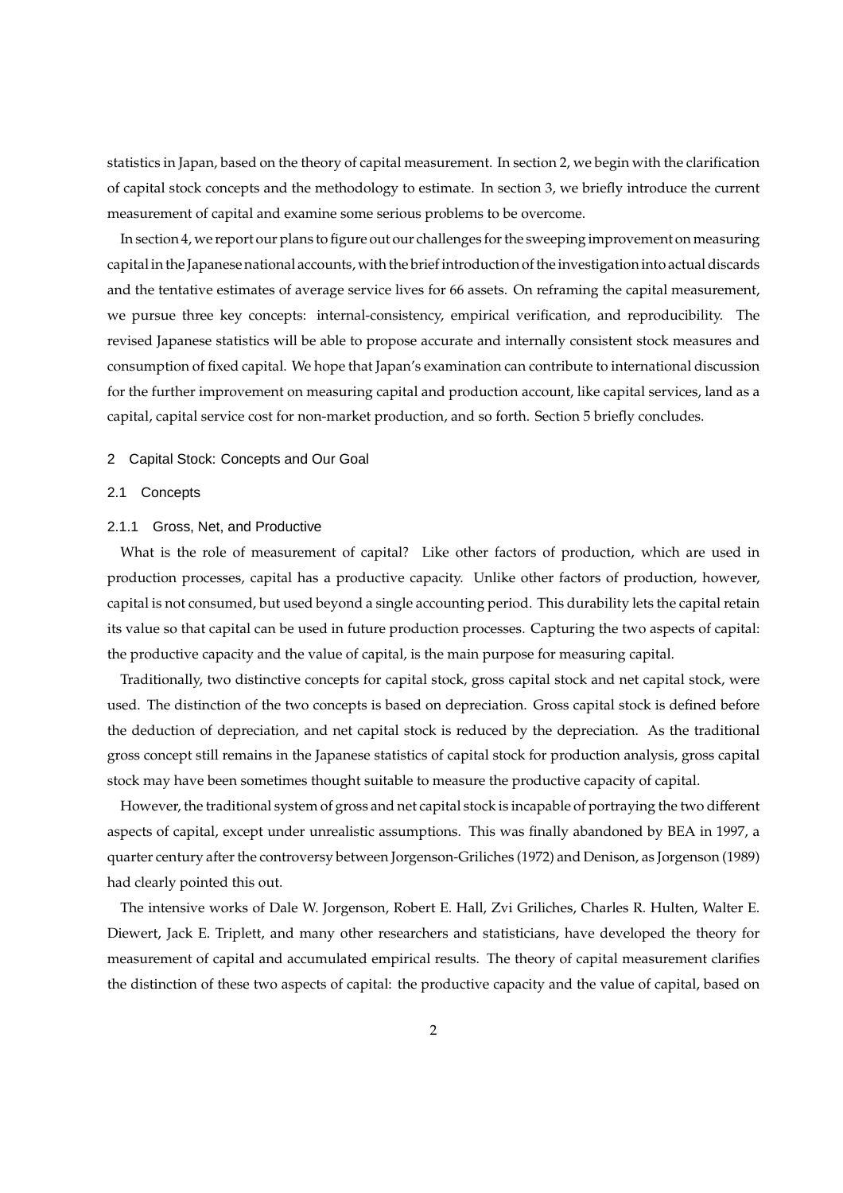statistics in Japan, based on the theory of capital measurement. In section 2, we begin with the clarification of capital stock concepts and the methodology to estimate. In section 3, we briefly introduce the current measurement of capital and examine some serious problems to be overcome.

In section 4, we report our plans to figure out our challenges for the sweeping improvement on measuring capital in the Japanese national accounts, with the brief introduction of the investigation into actual discards and the tentative estimates of average service lives for 66 assets. On reframing the capital measurement, we pursue three key concepts: internal-consistency, empirical verification, and reproducibility. The revised Japanese statistics will be able to propose accurate and internally consistent stock measures and consumption of fixed capital. We hope that Japan's examination can contribute to international discussion for the further improvement on measuring capital and production account, like capital services, land as a capital, capital service cost for non-market production, and so forth. Section 5 briefly concludes.

#### 2 Capital Stock: Concepts and Our Goal

#### 2.1 Concepts

#### 2.1.1 Gross, Net, and Productive

What is the role of measurement of capital? Like other factors of production, which are used in production processes, capital has a productive capacity. Unlike other factors of production, however, capital is not consumed, but used beyond a single accounting period. This durability lets the capital retain its value so that capital can be used in future production processes. Capturing the two aspects of capital: the productive capacity and the value of capital, is the main purpose for measuring capital.

Traditionally, two distinctive concepts for capital stock, gross capital stock and net capital stock, were used. The distinction of the two concepts is based on depreciation. Gross capital stock is defined before the deduction of depreciation, and net capital stock is reduced by the depreciation. As the traditional gross concept still remains in the Japanese statistics of capital stock for production analysis, gross capital stock may have been sometimes thought suitable to measure the productive capacity of capital.

However, the traditional system of gross and net capital stock is incapable of portraying the two different aspects of capital, except under unrealistic assumptions. This was finally abandoned by BEA in 1997, a quarter century after the controversy between Jorgenson-Griliches (1972) and Denison, as Jorgenson (1989) had clearly pointed this out.

The intensive works of Dale W. Jorgenson, Robert E. Hall, Zvi Griliches, Charles R. Hulten, Walter E. Diewert, Jack E. Triplett, and many other researchers and statisticians, have developed the theory for measurement of capital and accumulated empirical results. The theory of capital measurement clarifies the distinction of these two aspects of capital: the productive capacity and the value of capital, based on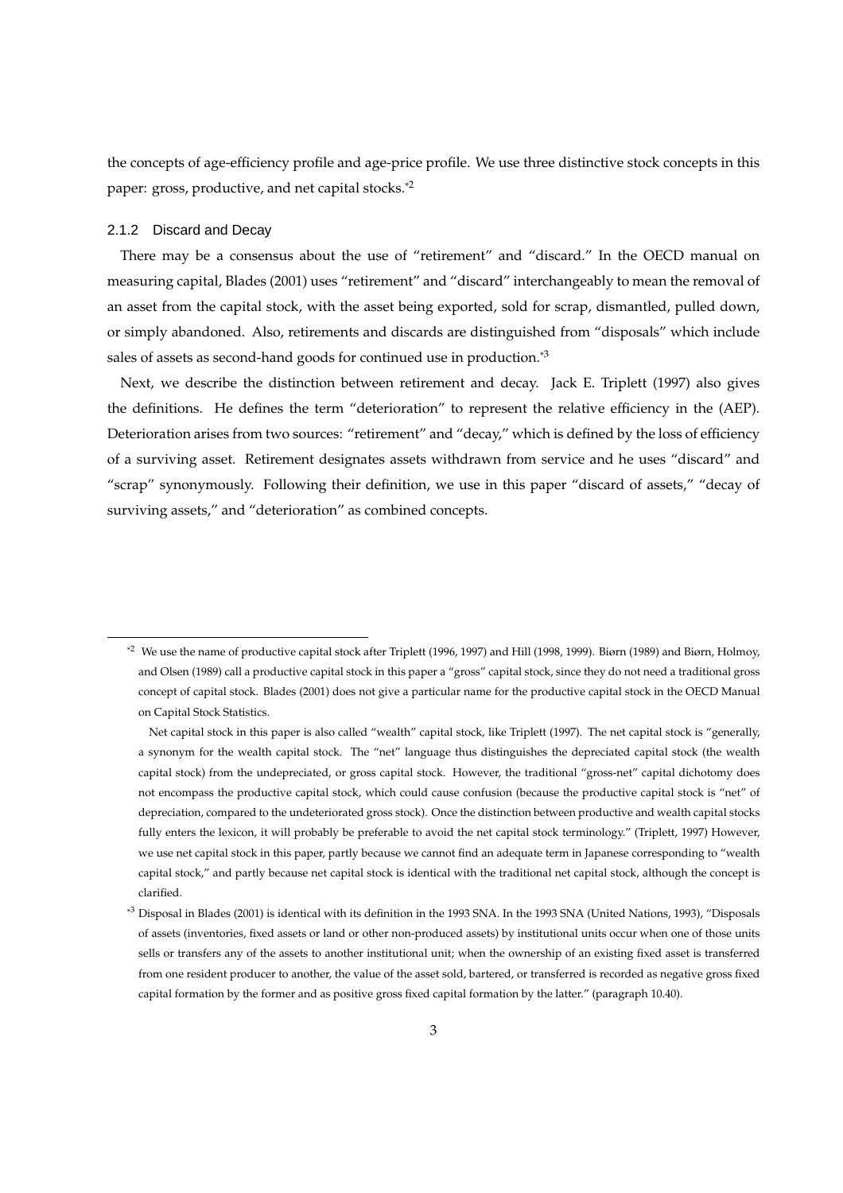the concepts of age-efficiency profile and age-price profile. We use three distinctive stock concepts in this paper: gross, productive, and net capital stocks.\*2

#### 2.1.2 Discard and Decay

There may be a consensus about the use of "retirement" and "discard." In the OECD manual on measuring capital, Blades (2001) uses "retirement" and "discard" interchangeably to mean the removal of an asset from the capital stock, with the asset being exported, sold for scrap, dismantled, pulled down, or simply abandoned. Also, retirements and discards are distinguished from "disposals" which include sales of assets as second-hand goods for continued use in production.<sup>\*3</sup>

Next, we describe the distinction between retirement and decay. Jack E. Triplett (1997) also gives the definitions. He defines the term "deterioration" to represent the relative efficiency in the (AEP). Deterioration arises from two sources: "retirement" and "decay," which is defined by the loss of efficiency of a surviving asset. Retirement designates assets withdrawn from service and he uses "discard" and "scrap" synonymously. Following their definition, we use in this paper "discard of assets," "decay of surviving assets," and "deterioration" as combined concepts.

<sup>\*2</sup> We use the name of productive capital stock after Triplett (1996, 1997) and Hill (1998, 1999). Biørn (1989) and Biørn, Holmoy, and Olsen (1989) call a productive capital stock in this paper a "gross" capital stock, since they do not need a traditional gross concept of capital stock. Blades (2001) does not give a particular name for the productive capital stock in the OECD Manual on Capital Stock Statistics.

Net capital stock in this paper is also called "wealth" capital stock, like Triplett (1997). The net capital stock is "generally, a synonym for the wealth capital stock. The "net" language thus distinguishes the depreciated capital stock (the wealth capital stock) from the undepreciated, or gross capital stock. However, the traditional "gross-net" capital dichotomy does not encompass the productive capital stock, which could cause confusion (because the productive capital stock is "net" of depreciation, compared to the undeteriorated gross stock). Once the distinction between productive and wealth capital stocks fully enters the lexicon, it will probably be preferable to avoid the net capital stock terminology." (Triplett, 1997) However, we use net capital stock in this paper, partly because we cannot find an adequate term in Japanese corresponding to "wealth capital stock," and partly because net capital stock is identical with the traditional net capital stock, although the concept is clarified.

<sup>\*3</sup> Disposal in Blades (2001) is identical with its definition in the 1993 SNA. In the 1993 SNA (United Nations, 1993), "Disposals of assets (inventories, fixed assets or land or other non-produced assets) by institutional units occur when one of those units sells or transfers any of the assets to another institutional unit; when the ownership of an existing fixed asset is transferred from one resident producer to another, the value of the asset sold, bartered, or transferred is recorded as negative gross fixed capital formation by the former and as positive gross fixed capital formation by the latter." (paragraph 10.40).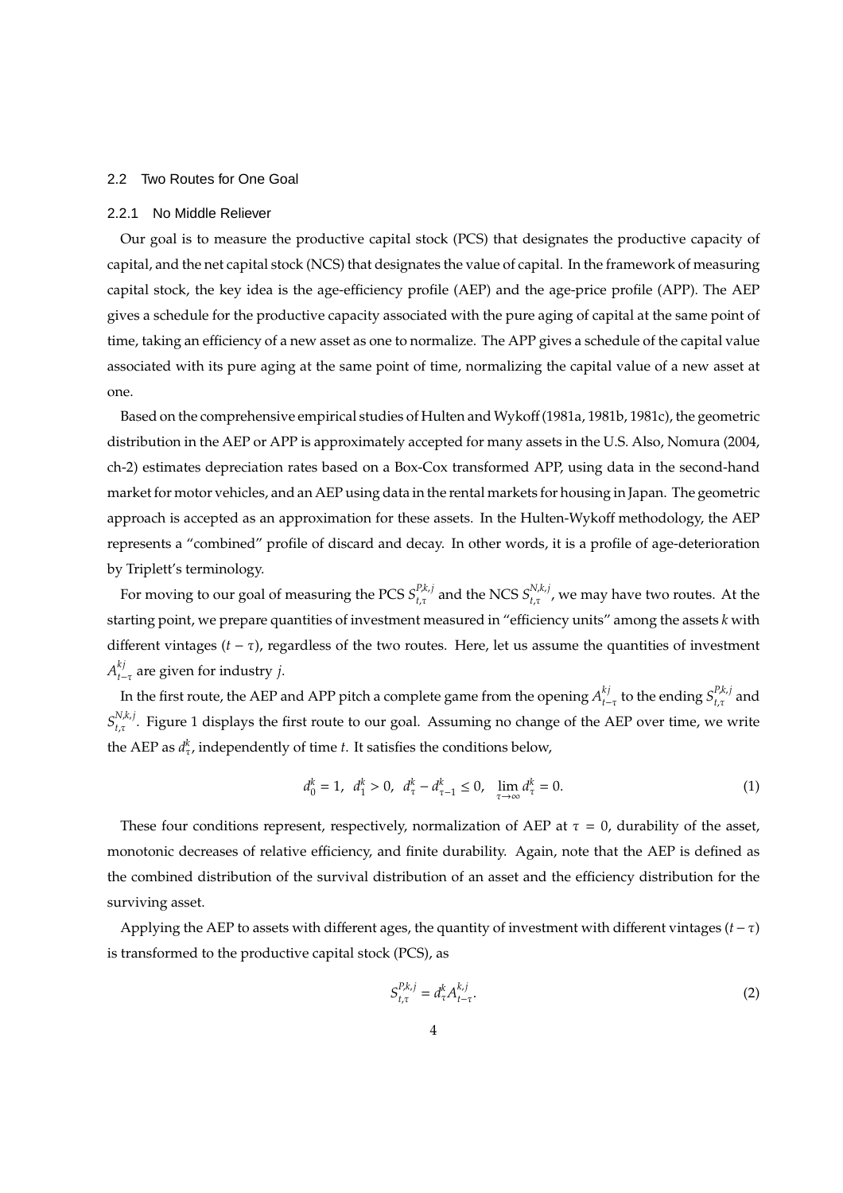#### 2.2 Two Routes for One Goal

#### 2.2.1 No Middle Reliever

Our goal is to measure the productive capital stock (PCS) that designates the productive capacity of capital, and the net capital stock (NCS) that designates the value of capital. In the framework of measuring capital stock, the key idea is the age-efficiency profile (AEP) and the age-price profile (APP). The AEP gives a schedule for the productive capacity associated with the pure aging of capital at the same point of time, taking an efficiency of a new asset as one to normalize. The APP gives a schedule of the capital value associated with its pure aging at the same point of time, normalizing the capital value of a new asset at one.

Based on the comprehensive empirical studies of Hulten and Wykoff (1981a, 1981b, 1981c), the geometric distribution in the AEP or APP is approximately accepted for many assets in the U.S. Also, Nomura (2004, ch-2) estimates depreciation rates based on a Box-Cox transformed APP, using data in the second-hand market for motor vehicles, and an AEP using data in the rental markets for housing in Japan. The geometric approach is accepted as an approximation for these assets. In the Hulten-Wykoff methodology, the AEP represents a "combined" profile of discard and decay. In other words, it is a profile of age-deterioration by Triplett's terminology.

For moving to our goal of measuring the PCS  $S^{P,k,j}_{t,\tau}$  $_{t,\tau}^{P,k,j}$  and the NCS  $S^{N,k,j}_{t,\tau}$  $t_{t,\tau}^{N,\kappa,J}$ , we may have two routes. At the starting point, we prepare quantities of investment measured in "efficiency units" among the assets *k* with different vintages  $(t - \tau)$ , regardless of the two routes. Here, let us assume the quantities of investment  $A^{kj}_{\leftarrow}$  $t_{t-\tau}$  are given for industry *j*.

In the first route, the AEP and APP pitch a complete game from the opening  $A^{kj}_{\epsilon}$  $_{t-\tau}^{kj}$  to the ending  $S^{P,k,j}_{t,\tau}$ *t*,τ and  $S_{t\tau}^{N,k,j}$  $t_{t,\tau}$ . Figure 1 displays the first route to our goal. Assuming no change of the AEP over time, we write the AEP as  $d_{\tau}^k$ , independently of time *t*. It satisfies the conditions below,

$$
d_0^k = 1, \ d_1^k > 0, \ d_\tau^k - d_{\tau-1}^k \le 0, \ \lim_{\tau \to \infty} d_\tau^k = 0. \tag{1}
$$

These four conditions represent, respectively, normalization of AEP at  $\tau = 0$ , durability of the asset, monotonic decreases of relative efficiency, and finite durability. Again, note that the AEP is defined as the combined distribution of the survival distribution of an asset and the efficiency distribution for the surviving asset.

Applying the AEP to assets with different ages, the quantity of investment with different vintages (*t*−τ) is transformed to the productive capital stock (PCS), as

$$
S_{t,\tau}^{P,k,j} = d_{\tau}^k A_{t-\tau}^{k,j}.
$$
\n<sup>(2)</sup>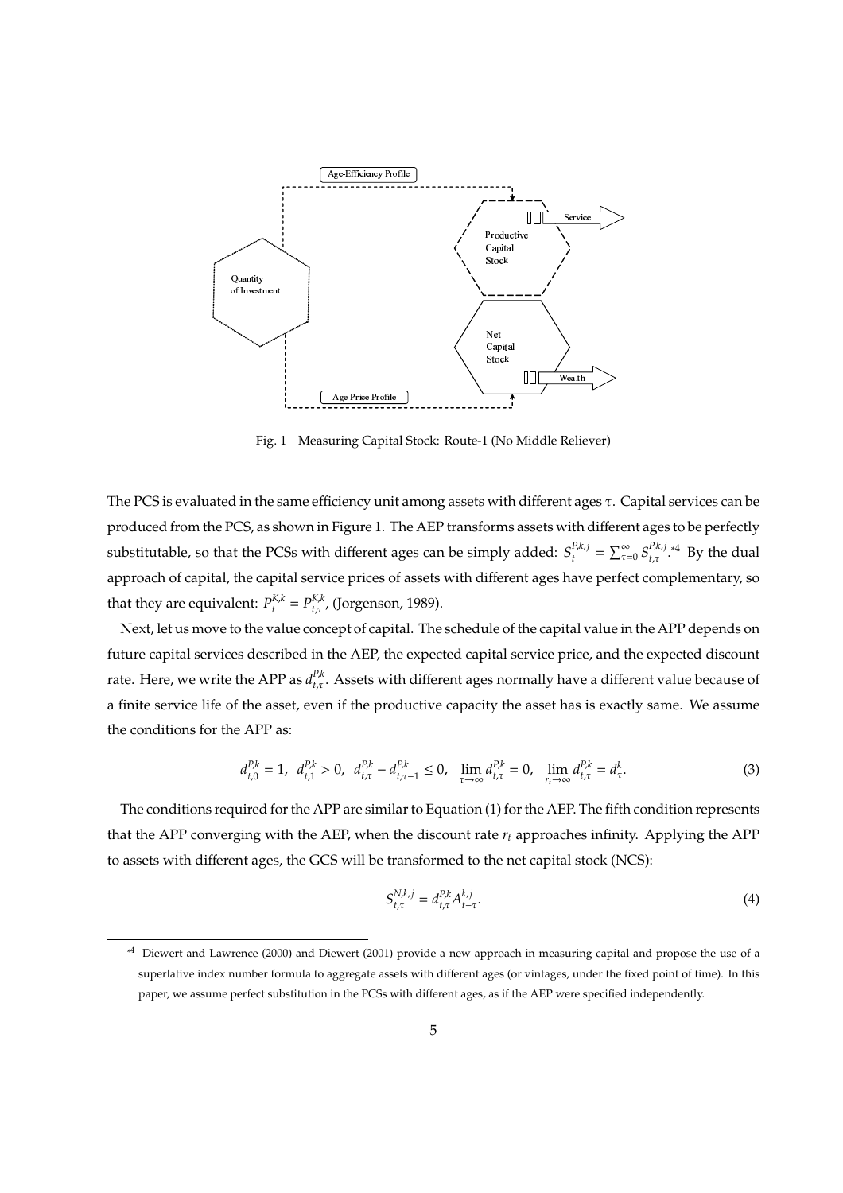

Fig. 1 Measuring Capital Stock: Route-1 (No Middle Reliever)

The PCS is evaluated in the same efficiency unit among assets with different ages  $\tau$ . Capital services can be produced from the PCS, as shown in Figure 1. The AEP transforms assets with different ages to be perfectly substitutable, so that the PCSs with different ages can be simply added:  $S_t^{p,k,j} = \sum_{\tau=0}^{\infty} S_{t,\tau}^{p,k,j}$  $t, \tau$ <sup>*P,k,j*</sup> \*4 By the dual approach of capital, the capital service prices of assets with different ages have perfect complementary, so that they are equivalent:  $P_{t}^{K,k} = P_{t,\tau}^{K,k}$ , (Jorgenson, 1989).

Next, let us move to the value concept of capital. The schedule of the capital value in the APP depends on future capital services described in the AEP, the expected capital service price, and the expected discount rate. Here, we write the APP as  $d_{t,\tau}^{P,k}$ . Assets with different ages normally have a different value because of a finite service life of the asset, even if the productive capacity the asset has is exactly same. We assume the conditions for the APP as:

$$
d_{t,0}^{P,k} = 1, \quad d_{t,1}^{P,k} > 0, \quad d_{t,\tau}^{P,k} - d_{t,\tau-1}^{P,k} \le 0, \quad \lim_{\tau \to \infty} d_{t,\tau}^{P,k} = 0, \quad \lim_{\tau \to \infty} d_{t,\tau}^{P,k} = d_{\tau}^{k}.
$$

The conditions required for the APP are similar to Equation (1) for the AEP. The fifth condition represents that the APP converging with the AEP, when the discount rate  $r_t$  approaches infinity. Applying the APP to assets with different ages, the GCS will be transformed to the net capital stock (NCS):

$$
S_{t,\tau}^{N,k,j} = d_{t,\tau}^{P,k} A_{t-\tau}^{k,j}.
$$
\n(4)

<sup>\*4</sup> Diewert and Lawrence (2000) and Diewert (2001) provide a new approach in measuring capital and propose the use of a superlative index number formula to aggregate assets with different ages (or vintages, under the fixed point of time). In this paper, we assume perfect substitution in the PCSs with different ages, as if the AEP were specified independently.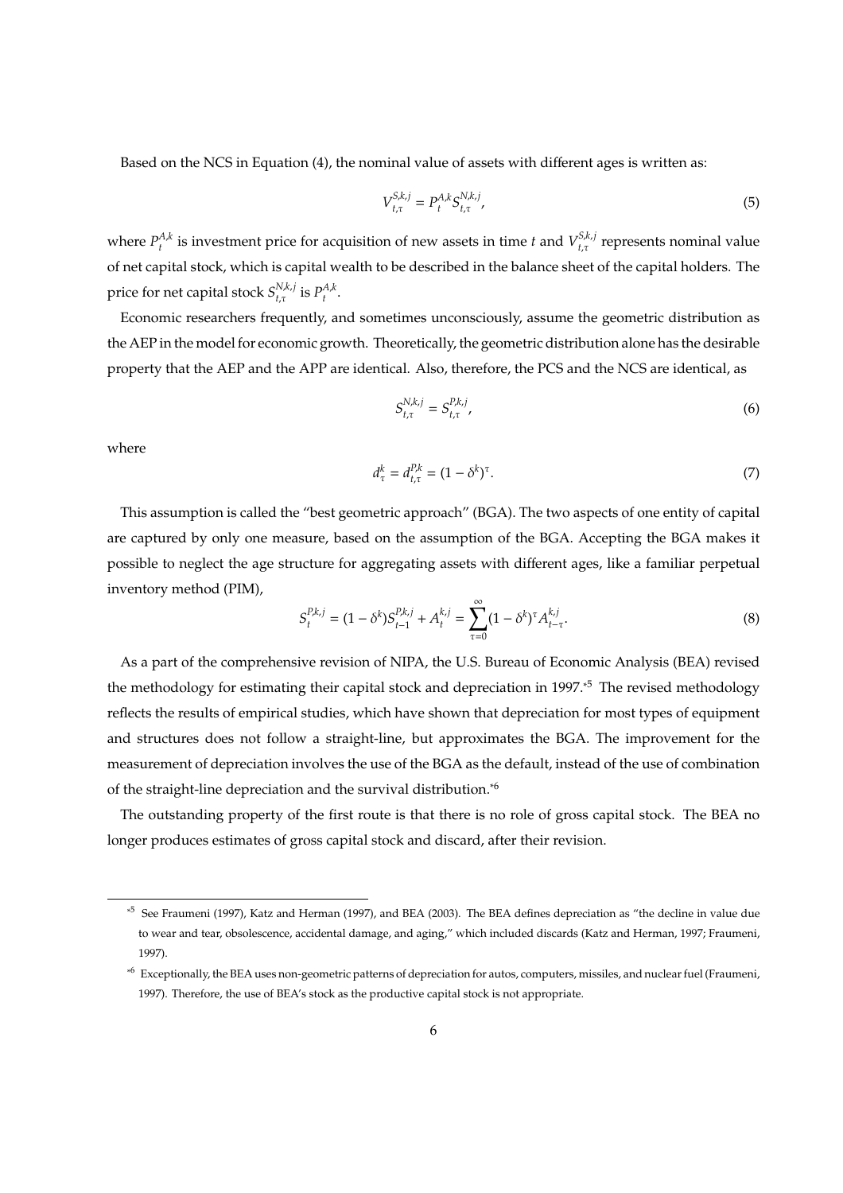Based on the NCS in Equation (4), the nominal value of assets with different ages is written as:

$$
V_{t,\tau}^{S,k,j} = P_t^{A,k} S_{t,\tau}^{N,k,j},\tag{5}
$$

where  $P_t^{A,k}$  is investment price for acquisition of new assets in time *t* and  $V_{t,\tau}^{S,k,j}$  $_{t,\tau}^{s,\kappa,j}$  represents nominal value of net capital stock, which is capital wealth to be described in the balance sheet of the capital holders. The price for net capital stock  $S^{N,k,j}_{t,\tau}$  $_{t,\tau}^{N,k,j}$  is  $P_t^{A,k}$ .

Economic researchers frequently, and sometimes unconsciously, assume the geometric distribution as the AEP in the model for economic growth. Theoretically, the geometric distribution alone has the desirable property that the AEP and the APP are identical. Also, therefore, the PCS and the NCS are identical, as

$$
S_{t,\tau}^{N,k,j} = S_{t,\tau}^{P,k,j} \tag{6}
$$

where

$$
d_{\tau}^{k} = d_{t,\tau}^{P,k} = (1 - \delta^{k})^{\tau}.
$$
\n(7)

This assumption is called the "best geometric approach" (BGA). The two aspects of one entity of capital are captured by only one measure, based on the assumption of the BGA. Accepting the BGA makes it possible to neglect the age structure for aggregating assets with different ages, like a familiar perpetual inventory method (PIM),

$$
S_t^{P,k,j} = (1 - \delta^k) S_{t-1}^{P,k,j} + A_t^{k,j} = \sum_{\tau=0}^{\infty} (1 - \delta^k)^{\tau} A_{t-\tau}^{k,j}.
$$
 (8)

As a part of the comprehensive revision of NIPA, the U.S. Bureau of Economic Analysis (BEA) revised the methodology for estimating their capital stock and depreciation in 1997.\*5 The revised methodology reflects the results of empirical studies, which have shown that depreciation for most types of equipment and structures does not follow a straight-line, but approximates the BGA. The improvement for the measurement of depreciation involves the use of the BGA as the default, instead of the use of combination of the straight-line depreciation and the survival distribution.\*6

The outstanding property of the first route is that there is no role of gross capital stock. The BEA no longer produces estimates of gross capital stock and discard, after their revision.

<sup>\*5</sup> See Fraumeni (1997), Katz and Herman (1997), and BEA (2003). The BEA defines depreciation as "the decline in value due to wear and tear, obsolescence, accidental damage, and aging," which included discards (Katz and Herman, 1997; Fraumeni, 1997).

<sup>\*6</sup> Exceptionally, the BEA uses non-geometric patterns of depreciation for autos, computers, missiles, and nuclear fuel (Fraumeni, 1997). Therefore, the use of BEA's stock as the productive capital stock is not appropriate.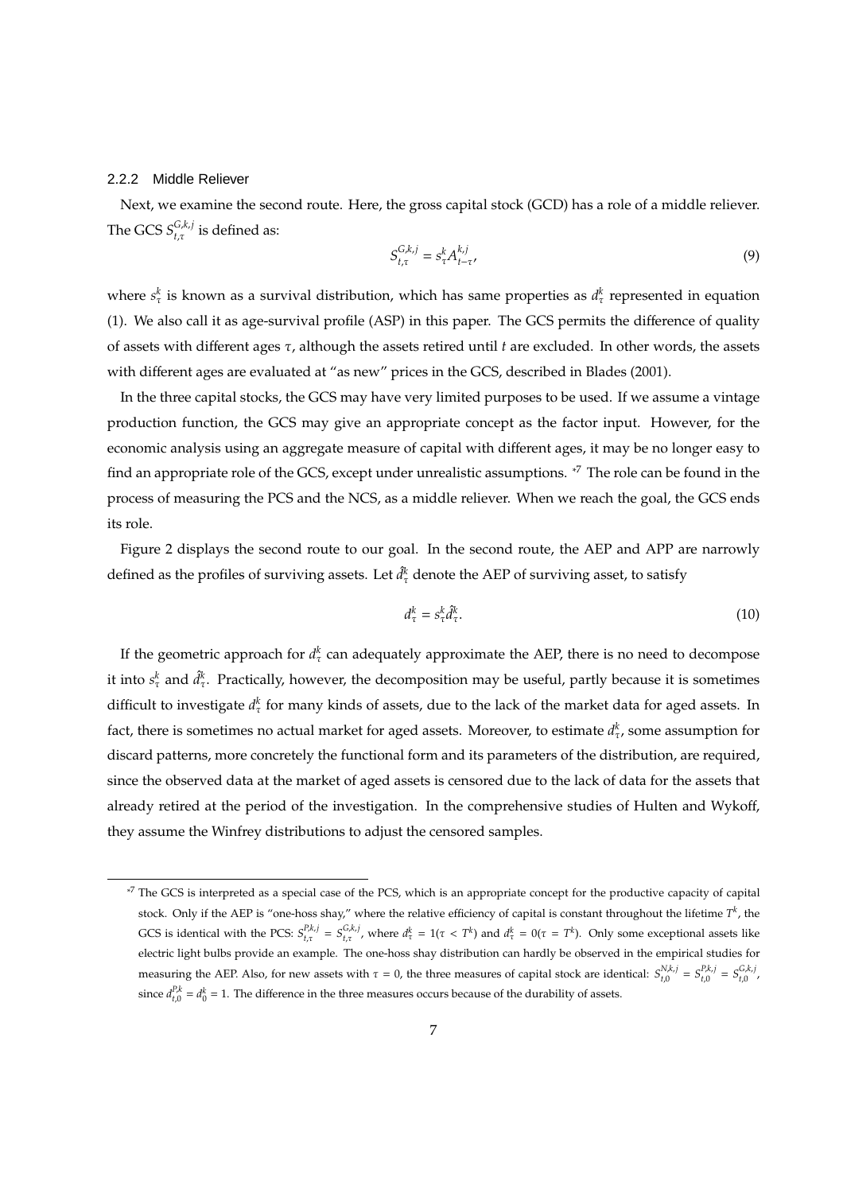#### 2.2.2 Middle Reliever

Next, we examine the second route. Here, the gross capital stock (GCD) has a role of a middle reliever. The GCS  $S^{G,k,j}_{t,\tau}$  $_{t,\tau}^{G,\kappa,f}$  is defined as:

$$
S_{t,\tau}^{G,k,j} = s_{\tau}^k A_{t-\tau}^{k,j},\tag{9}
$$

where  $s^k_\tau$  is known as a survival distribution, which has same properties as  $d^k_\tau$  represented in equation (1). We also call it as age-survival profile (ASP) in this paper. The GCS permits the difference of quality of assets with different ages τ, although the assets retired until *t* are excluded. In other words, the assets with different ages are evaluated at "as new" prices in the GCS, described in Blades (2001).

In the three capital stocks, the GCS may have very limited purposes to be used. If we assume a vintage production function, the GCS may give an appropriate concept as the factor input. However, for the economic analysis using an aggregate measure of capital with different ages, it may be no longer easy to find an appropriate role of the GCS, except under unrealistic assumptions. \*7 The role can be found in the process of measuring the PCS and the NCS, as a middle reliever. When we reach the goal, the GCS ends its role.

Figure 2 displays the second route to our goal. In the second route, the AEP and APP are narrowly defined as the profiles of surviving assets. Let  $\hat{d}_{\tau}^{k}$  denote the AEP of surviving asset, to satisfy

$$
d_{\tau}^{k} = s_{\tau}^{k} \hat{d}_{\tau}^{k}.
$$
\n<sup>(10)</sup>

If the geometric approach for  $d_\tau^k$  can adequately approximate the AEP, there is no need to decompose it into  $s^k_\tau$  and  $\hat d^k_\tau$ . Practically, however, the decomposition may be useful, partly because it is sometimes difficult to investigate  $d_{\tau}^{k}$  for many kinds of assets, due to the lack of the market data for aged assets. In fact, there is sometimes no actual market for aged assets. Moreover, to estimate  $d_{\tau}^k$ , some assumption for discard patterns, more concretely the functional form and its parameters of the distribution, are required, since the observed data at the market of aged assets is censored due to the lack of data for the assets that already retired at the period of the investigation. In the comprehensive studies of Hulten and Wykoff, they assume the Winfrey distributions to adjust the censored samples.

<sup>&</sup>lt;sup>\*7</sup> The GCS is interpreted as a special case of the PCS, which is an appropriate concept for the productive capacity of capital stock. Only if the AEP is "one-hoss shay," where the relative efficiency of capital is constant throughout the lifetime  $T^k$ , the GCS is identical with the PCS:  $S_{t,\tau}^{P,k,j} = S_{t,\tau}^{G,k,j}$ , where  $d_{\tau}^k = 1(\tau < T^k)$  and  $d_{\tau}^k = 0(\tau = T^k)$ . Only some exceptional assets like electric light bulbs provide an example. The one-hoss shay distribution can hardly be observed in the empirical studies for measuring the AEP. Also, for new assets with  $\tau = 0$ , the three measures of capital stock are identical:  $S_{t,0}^{N,k,j} = S_{t,0}^{P,k,j} = S_{t,0}^{G,k,j}$ , since  $d_{t,0}^{P,k} = d_0^k = 1$ . The difference in the three measures occurs because of the durability of assets.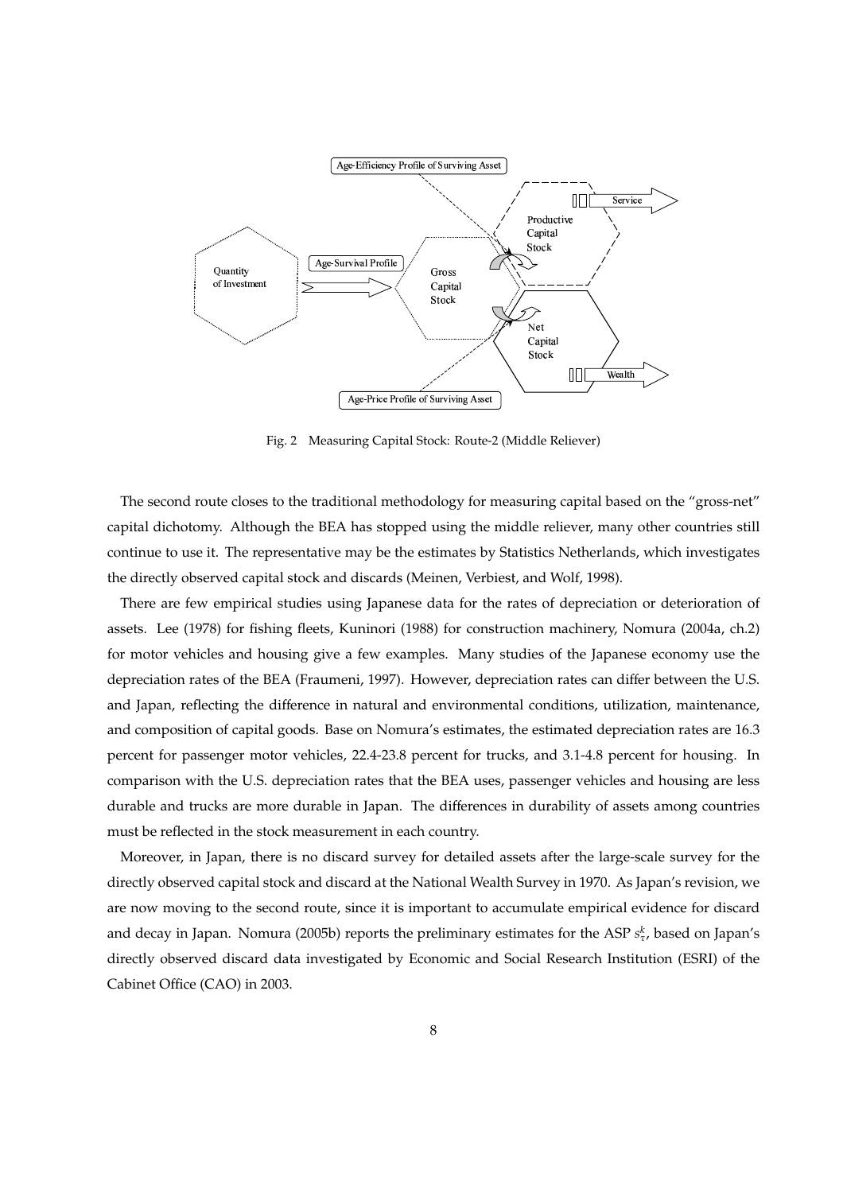

Fig. 2 Measuring Capital Stock: Route-2 (Middle Reliever)

The second route closes to the traditional methodology for measuring capital based on the "gross-net" capital dichotomy. Although the BEA has stopped using the middle reliever, many other countries still continue to use it. The representative may be the estimates by Statistics Netherlands, which investigates the directly observed capital stock and discards (Meinen, Verbiest, and Wolf, 1998).

There are few empirical studies using Japanese data for the rates of depreciation or deterioration of assets. Lee (1978) for fishing fleets, Kuninori (1988) for construction machinery, Nomura (2004a, ch.2) for motor vehicles and housing give a few examples. Many studies of the Japanese economy use the depreciation rates of the BEA (Fraumeni, 1997). However, depreciation rates can differ between the U.S. and Japan, reflecting the difference in natural and environmental conditions, utilization, maintenance, and composition of capital goods. Base on Nomura's estimates, the estimated depreciation rates are 16.3 percent for passenger motor vehicles, 22.4-23.8 percent for trucks, and 3.1-4.8 percent for housing. In comparison with the U.S. depreciation rates that the BEA uses, passenger vehicles and housing are less durable and trucks are more durable in Japan. The differences in durability of assets among countries must be reflected in the stock measurement in each country.

Moreover, in Japan, there is no discard survey for detailed assets after the large-scale survey for the directly observed capital stock and discard at the National Wealth Survey in 1970. As Japan's revision, we are now moving to the second route, since it is important to accumulate empirical evidence for discard and decay in Japan. Nomura (2005b) reports the preliminary estimates for the ASP  $s^k_{\tau}$ , based on Japan's directly observed discard data investigated by Economic and Social Research Institution (ESRI) of the Cabinet Office (CAO) in 2003.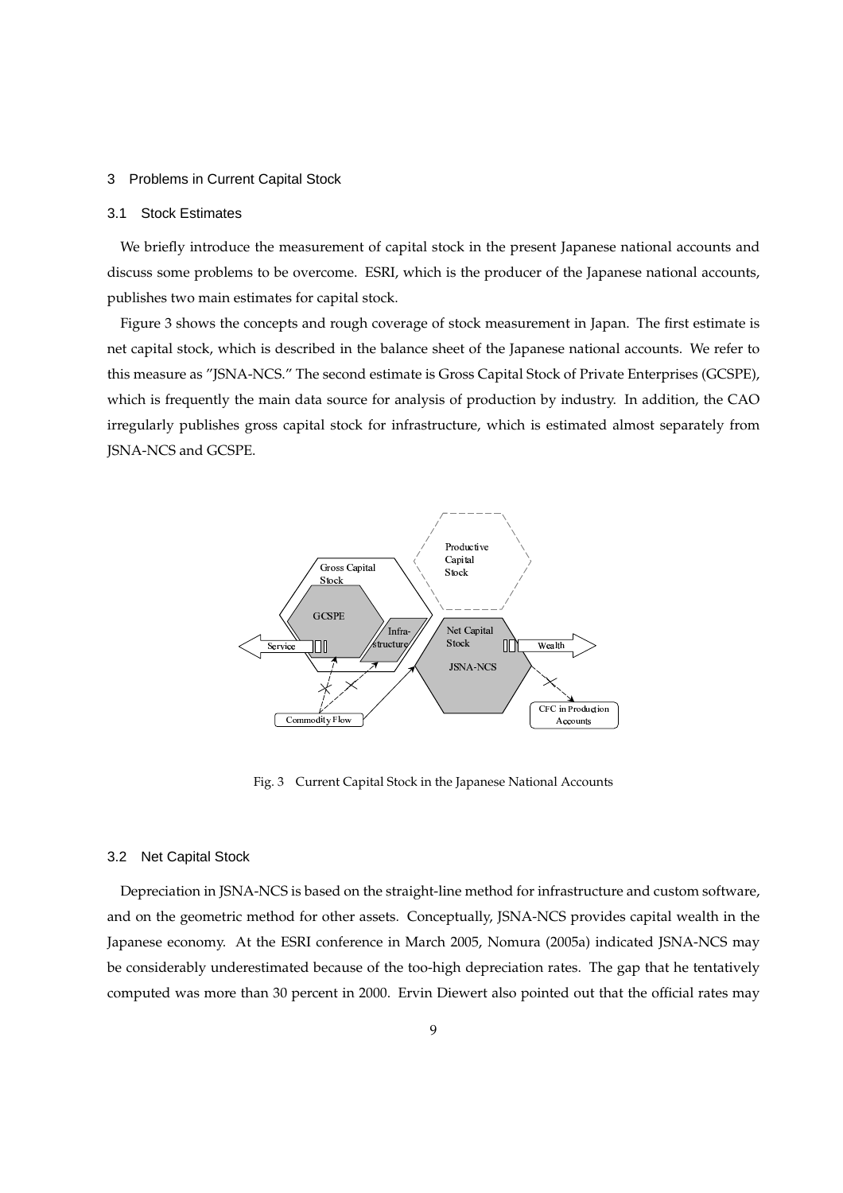#### 3 Problems in Current Capital Stock

#### 3.1 Stock Estimates

We briefly introduce the measurement of capital stock in the present Japanese national accounts and discuss some problems to be overcome. ESRI, which is the producer of the Japanese national accounts, publishes two main estimates for capital stock.

Figure 3 shows the concepts and rough coverage of stock measurement in Japan. The first estimate is net capital stock, which is described in the balance sheet of the Japanese national accounts. We refer to this measure as "JSNA-NCS." The second estimate is Gross Capital Stock of Private Enterprises (GCSPE), which is frequently the main data source for analysis of production by industry. In addition, the CAO irregularly publishes gross capital stock for infrastructure, which is estimated almost separately from JSNA-NCS and GCSPE.



Fig. 3 Current Capital Stock in the Japanese National Accounts

#### 3.2 Net Capital Stock

Depreciation in JSNA-NCS is based on the straight-line method for infrastructure and custom software, and on the geometric method for other assets. Conceptually, JSNA-NCS provides capital wealth in the Japanese economy. At the ESRI conference in March 2005, Nomura (2005a) indicated JSNA-NCS may be considerably underestimated because of the too-high depreciation rates. The gap that he tentatively computed was more than 30 percent in 2000. Ervin Diewert also pointed out that the official rates may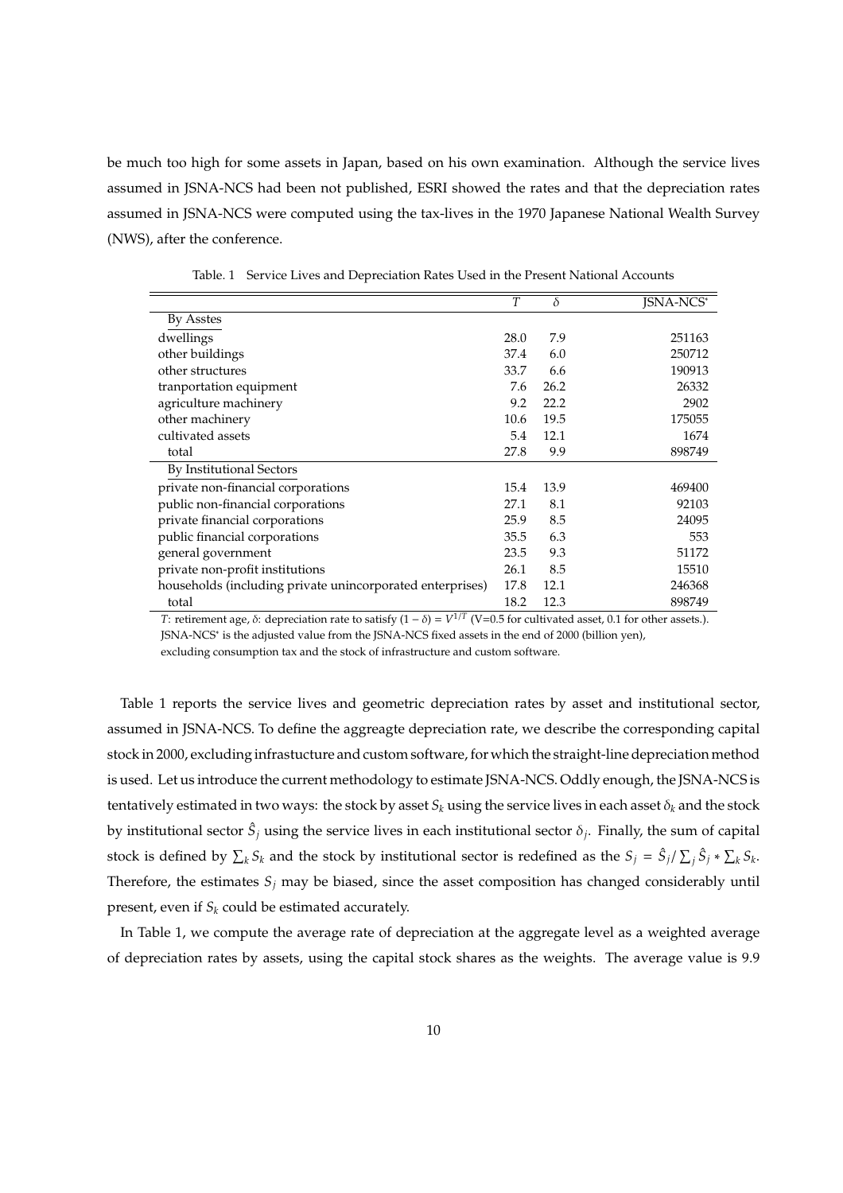be much too high for some assets in Japan, based on his own examination. Although the service lives assumed in JSNA-NCS had been not published, ESRI showed the rates and that the depreciation rates assumed in JSNA-NCS were computed using the tax-lives in the 1970 Japanese National Wealth Survey (NWS), after the conference.

|                                                           | T    | δ    | <b>ISNA-NCS*</b> |
|-----------------------------------------------------------|------|------|------------------|
| By Asstes                                                 |      |      |                  |
| dwellings                                                 | 28.0 | 7.9  | 251163           |
| other buildings                                           | 37.4 | 6.0  | 250712           |
| other structures                                          | 33.7 | 6.6  | 190913           |
| tranportation equipment                                   | 7.6  | 26.2 | 26332            |
| agriculture machinery                                     | 9.2  | 22.2 | 2902             |
| other machinery                                           | 10.6 | 19.5 | 175055           |
| cultivated assets                                         | 5.4  | 12.1 | 1674             |
| total                                                     | 27.8 | 9.9  | 898749           |
| By Institutional Sectors                                  |      |      |                  |
| private non-financial corporations                        | 15.4 | 13.9 | 469400           |
| public non-financial corporations                         | 27.1 | 8.1  | 92103            |
| private financial corporations                            | 25.9 | 8.5  | 24095            |
| public financial corporations                             | 35.5 | 6.3  | 553              |
| general government                                        | 23.5 | 9.3  | 51172            |
| private non-profit institutions                           | 26.1 | 8.5  | 15510            |
| households (including private unincorporated enterprises) | 17.8 | 12.1 | 246368           |
| total<br>$-1/T = -$                                       | 18.2 | 12.3 | 898749           |

Table. 1 Service Lives and Depreciation Rates Used in the Present National Accounts

*T*: retirement age,  $\delta$ : depreciation rate to satisfy  $(1 - \delta) = V^{1/T}$  (V=0.5 for cultivated asset, 0.1 for other assets.). JSNA-NCS<sup>∗</sup> is the adjusted value from the JSNA-NCS fixed assets in the end of 2000 (billion yen), excluding consumption tax and the stock of infrastructure and custom software.

Table 1 reports the service lives and geometric depreciation rates by asset and institutional sector, assumed in JSNA-NCS. To define the aggreagte depreciation rate, we describe the corresponding capital stock in 2000, excluding infrastucture and custom software, for which the straight-line depreciation method is used. Let us introduce the current methodology to estimate JSNA-NCS. Oddly enough, the JSNA-NCS is tentatively estimated in two ways: the stock by asset  $S_k$  using the service lives in each asset  $\delta_k$  and the stock by institutional sector  $\hat{S}_j$  using the service lives in each institutional sector  $\delta_j$ . Finally, the sum of capital stock is defined by  $\sum_k S_k$  and the stock by institutional sector is redefined as the  $S_j = \hat{S}_j / \sum_j \hat{S}_j * \sum_k S_k$ . Therefore, the estimates  $S_j$  may be biased, since the asset composition has changed considerably until present, even if  $S_k$  could be estimated accurately.

In Table 1, we compute the average rate of depreciation at the aggregate level as a weighted average of depreciation rates by assets, using the capital stock shares as the weights. The average value is 9.9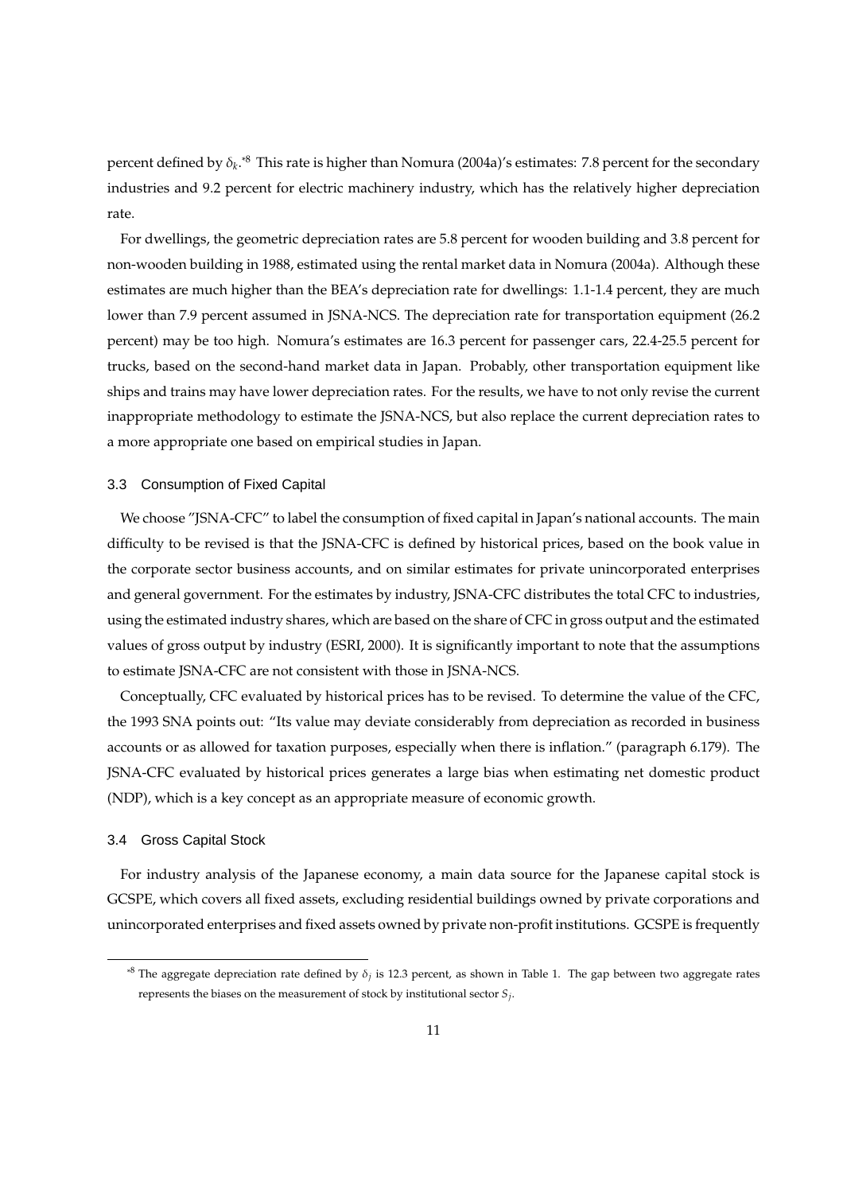percent defined by δ*<sup>k</sup>* . \*8 This rate is higher than Nomura (2004a)'s estimates: 7.8 percent for the secondary industries and 9.2 percent for electric machinery industry, which has the relatively higher depreciation rate.

For dwellings, the geometric depreciation rates are 5.8 percent for wooden building and 3.8 percent for non-wooden building in 1988, estimated using the rental market data in Nomura (2004a). Although these estimates are much higher than the BEA's depreciation rate for dwellings: 1.1-1.4 percent, they are much lower than 7.9 percent assumed in JSNA-NCS. The depreciation rate for transportation equipment (26.2 percent) may be too high. Nomura's estimates are 16.3 percent for passenger cars, 22.4-25.5 percent for trucks, based on the second-hand market data in Japan. Probably, other transportation equipment like ships and trains may have lower depreciation rates. For the results, we have to not only revise the current inappropriate methodology to estimate the JSNA-NCS, but also replace the current depreciation rates to a more appropriate one based on empirical studies in Japan.

#### 3.3 Consumption of Fixed Capital

We choose "JSNA-CFC" to label the consumption of fixed capital in Japan's national accounts. The main difficulty to be revised is that the JSNA-CFC is defined by historical prices, based on the book value in the corporate sector business accounts, and on similar estimates for private unincorporated enterprises and general government. For the estimates by industry, JSNA-CFC distributes the total CFC to industries, using the estimated industry shares, which are based on the share of CFC in gross output and the estimated values of gross output by industry (ESRI, 2000). It is significantly important to note that the assumptions to estimate JSNA-CFC are not consistent with those in JSNA-NCS.

Conceptually, CFC evaluated by historical prices has to be revised. To determine the value of the CFC, the 1993 SNA points out: "Its value may deviate considerably from depreciation as recorded in business accounts or as allowed for taxation purposes, especially when there is inflation." (paragraph 6.179). The JSNA-CFC evaluated by historical prices generates a large bias when estimating net domestic product (NDP), which is a key concept as an appropriate measure of economic growth.

#### 3.4 Gross Capital Stock

For industry analysis of the Japanese economy, a main data source for the Japanese capital stock is GCSPE, which covers all fixed assets, excluding residential buildings owned by private corporations and unincorporated enterprises and fixed assets owned by private non-profit institutions. GCSPE is frequently

<sup>&</sup>lt;sup>\*8</sup> The aggregate depreciation rate defined by  $\delta_j$  is 12.3 percent, as shown in Table 1. The gap between two aggregate rates represents the biases on the measurement of stock by institutional sector *S<sup>j</sup>* .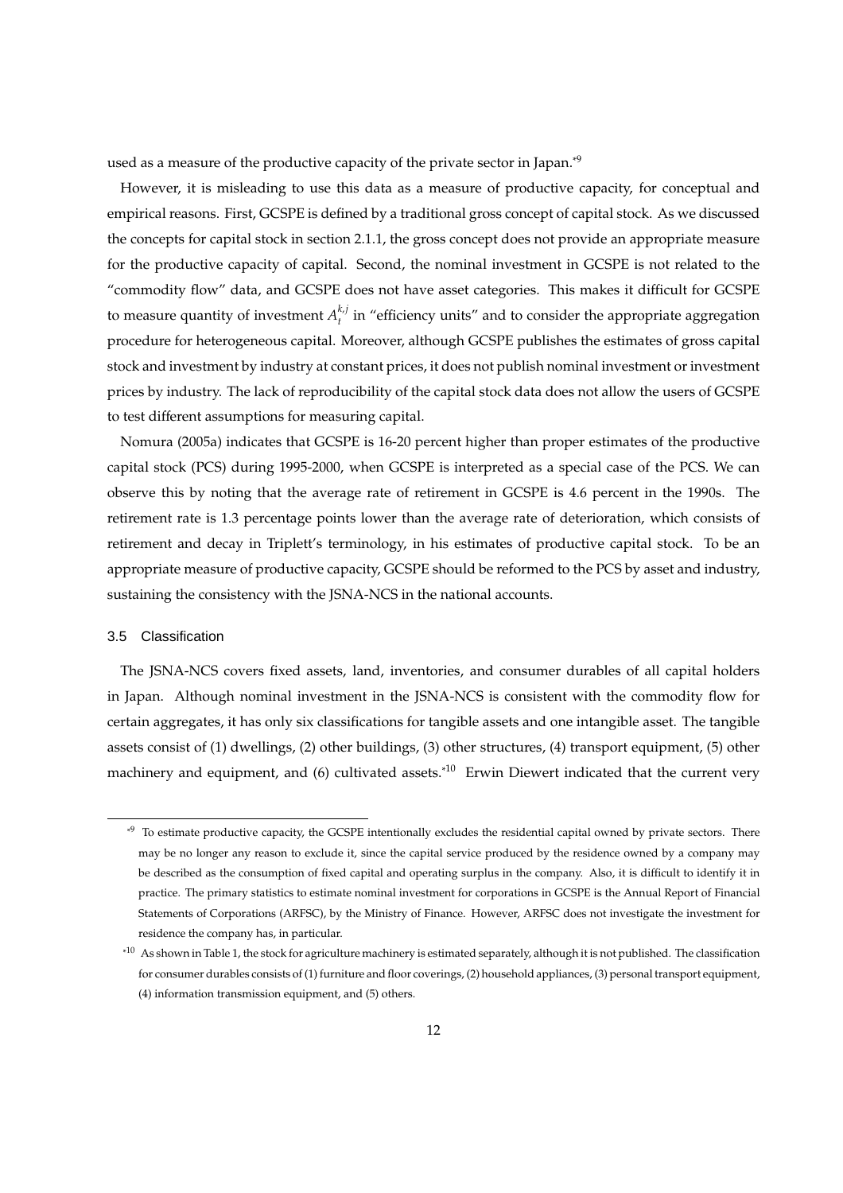used as a measure of the productive capacity of the private sector in Japan.\*9

However, it is misleading to use this data as a measure of productive capacity, for conceptual and empirical reasons. First, GCSPE is defined by a traditional gross concept of capital stock. As we discussed the concepts for capital stock in section 2.1.1, the gross concept does not provide an appropriate measure for the productive capacity of capital. Second, the nominal investment in GCSPE is not related to the "commodity flow" data, and GCSPE does not have asset categories. This makes it difficult for GCSPE to measure quantity of investment  $A^{k,j}_{i}$  $t_t^{(k)}$  in "efficiency units" and to consider the appropriate aggregation procedure for heterogeneous capital. Moreover, although GCSPE publishes the estimates of gross capital stock and investment by industry at constant prices, it does not publish nominal investment or investment prices by industry. The lack of reproducibility of the capital stock data does not allow the users of GCSPE to test different assumptions for measuring capital.

Nomura (2005a) indicates that GCSPE is 16-20 percent higher than proper estimates of the productive capital stock (PCS) during 1995-2000, when GCSPE is interpreted as a special case of the PCS. We can observe this by noting that the average rate of retirement in GCSPE is 4.6 percent in the 1990s. The retirement rate is 1.3 percentage points lower than the average rate of deterioration, which consists of retirement and decay in Triplett's terminology, in his estimates of productive capital stock. To be an appropriate measure of productive capacity, GCSPE should be reformed to the PCS by asset and industry, sustaining the consistency with the JSNA-NCS in the national accounts.

#### 3.5 Classification

The JSNA-NCS covers fixed assets, land, inventories, and consumer durables of all capital holders in Japan. Although nominal investment in the JSNA-NCS is consistent with the commodity flow for certain aggregates, it has only six classifications for tangible assets and one intangible asset. The tangible assets consist of (1) dwellings, (2) other buildings, (3) other structures, (4) transport equipment, (5) other machinery and equipment, and (6) cultivated assets.<sup>\*10</sup> Erwin Diewert indicated that the current very

<sup>\*9</sup> To estimate productive capacity, the GCSPE intentionally excludes the residential capital owned by private sectors. There may be no longer any reason to exclude it, since the capital service produced by the residence owned by a company may be described as the consumption of fixed capital and operating surplus in the company. Also, it is difficult to identify it in practice. The primary statistics to estimate nominal investment for corporations in GCSPE is the Annual Report of Financial Statements of Corporations (ARFSC), by the Ministry of Finance. However, ARFSC does not investigate the investment for residence the company has, in particular.

 $*10$  As shown in Table 1, the stock for agriculture machinery is estimated separately, although it is not published. The classification for consumer durables consists of (1) furniture and floor coverings, (2) household appliances, (3) personal transport equipment, (4) information transmission equipment, and (5) others.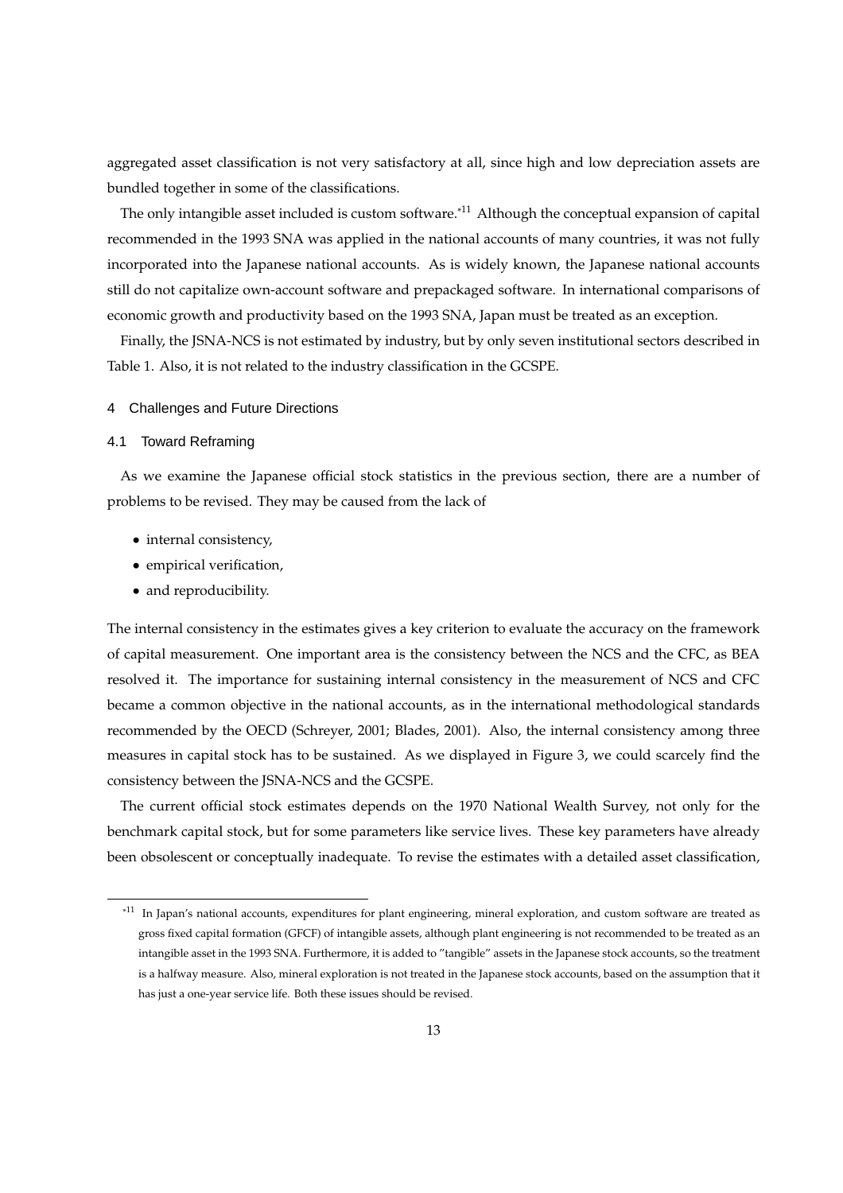aggregated asset classification is not very satisfactory at all, since high and low depreciation assets are bundled together in some of the classifications.

The only intangible asset included is custom software.<sup>\*11</sup> Although the conceptual expansion of capital recommended in the 1993 SNA was applied in the national accounts of many countries, it was not fully incorporated into the Japanese national accounts. As is widely known, the Japanese national accounts still do not capitalize own-account software and prepackaged software. In international comparisons of economic growth and productivity based on the 1993 SNA, Japan must be treated as an exception.

Finally, the JSNA-NCS is not estimated by industry, but by only seven institutional sectors described in Table 1. Also, it is not related to the industry classification in the GCSPE.

#### 4 Challenges and Future Directions

#### 4.1 Toward Reframing

As we examine the Japanese official stock statistics in the previous section, there are a number of problems to be revised. They may be caused from the lack of

- internal consistency,
- empirical verification,
- and reproducibility.

The internal consistency in the estimates gives a key criterion to evaluate the accuracy on the framework of capital measurement. One important area is the consistency between the NCS and the CFC, as BEA resolved it. The importance for sustaining internal consistency in the measurement of NCS and CFC became a common objective in the national accounts, as in the international methodological standards recommended by the OECD (Schreyer, 2001; Blades, 2001). Also, the internal consistency among three measures in capital stock has to be sustained. As we displayed in Figure 3, we could scarcely find the consistency between the JSNA-NCS and the GCSPE.

The current official stock estimates depends on the 1970 National Wealth Survey, not only for the benchmark capital stock, but for some parameters like service lives. These key parameters have already been obsolescent or conceptually inadequate. To revise the estimates with a detailed asset classification,

<sup>\*11</sup> In Japan's national accounts, expenditures for plant engineering, mineral exploration, and custom software are treated as gross fixed capital formation (GFCF) of intangible assets, although plant engineering is not recommended to be treated as an intangible asset in the 1993 SNA. Furthermore, it is added to "tangible" assets in the Japanese stock accounts, so the treatment is a halfway measure. Also, mineral exploration is not treated in the Japanese stock accounts, based on the assumption that it has just a one-year service life. Both these issues should be revised.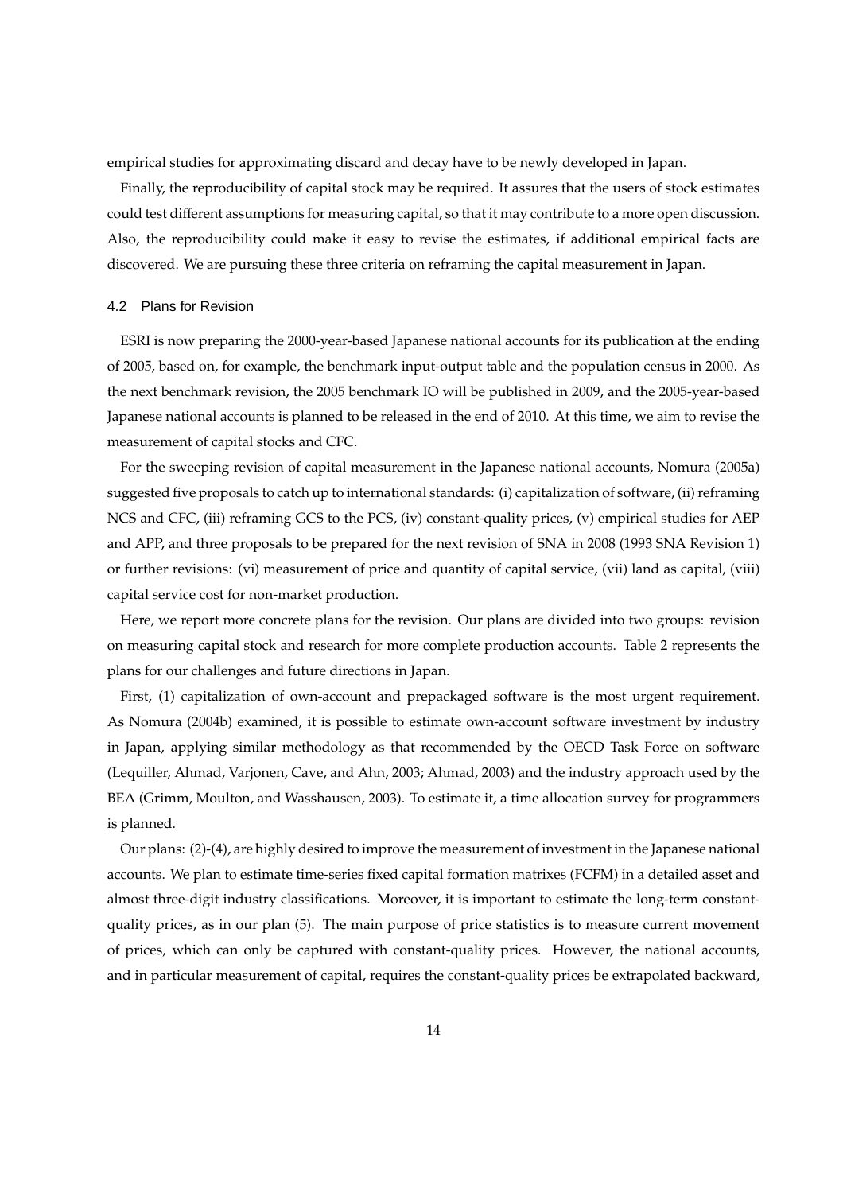empirical studies for approximating discard and decay have to be newly developed in Japan.

Finally, the reproducibility of capital stock may be required. It assures that the users of stock estimates could test different assumptions for measuring capital, so that it may contribute to a more open discussion. Also, the reproducibility could make it easy to revise the estimates, if additional empirical facts are discovered. We are pursuing these three criteria on reframing the capital measurement in Japan.

#### 4.2 Plans for Revision

ESRI is now preparing the 2000-year-based Japanese national accounts for its publication at the ending of 2005, based on, for example, the benchmark input-output table and the population census in 2000. As the next benchmark revision, the 2005 benchmark IO will be published in 2009, and the 2005-year-based Japanese national accounts is planned to be released in the end of 2010. At this time, we aim to revise the measurement of capital stocks and CFC.

For the sweeping revision of capital measurement in the Japanese national accounts, Nomura (2005a) suggested five proposals to catch up to international standards: (i) capitalization of software, (ii) reframing NCS and CFC, (iii) reframing GCS to the PCS, (iv) constant-quality prices, (v) empirical studies for AEP and APP, and three proposals to be prepared for the next revision of SNA in 2008 (1993 SNA Revision 1) or further revisions: (vi) measurement of price and quantity of capital service, (vii) land as capital, (viii) capital service cost for non-market production.

Here, we report more concrete plans for the revision. Our plans are divided into two groups: revision on measuring capital stock and research for more complete production accounts. Table 2 represents the plans for our challenges and future directions in Japan.

First, (1) capitalization of own-account and prepackaged software is the most urgent requirement. As Nomura (2004b) examined, it is possible to estimate own-account software investment by industry in Japan, applying similar methodology as that recommended by the OECD Task Force on software (Lequiller, Ahmad, Varjonen, Cave, and Ahn, 2003; Ahmad, 2003) and the industry approach used by the BEA (Grimm, Moulton, and Wasshausen, 2003). To estimate it, a time allocation survey for programmers is planned.

Our plans: (2)-(4), are highly desired to improve the measurement of investment in the Japanese national accounts. We plan to estimate time-series fixed capital formation matrixes (FCFM) in a detailed asset and almost three-digit industry classifications. Moreover, it is important to estimate the long-term constantquality prices, as in our plan (5). The main purpose of price statistics is to measure current movement of prices, which can only be captured with constant-quality prices. However, the national accounts, and in particular measurement of capital, requires the constant-quality prices be extrapolated backward,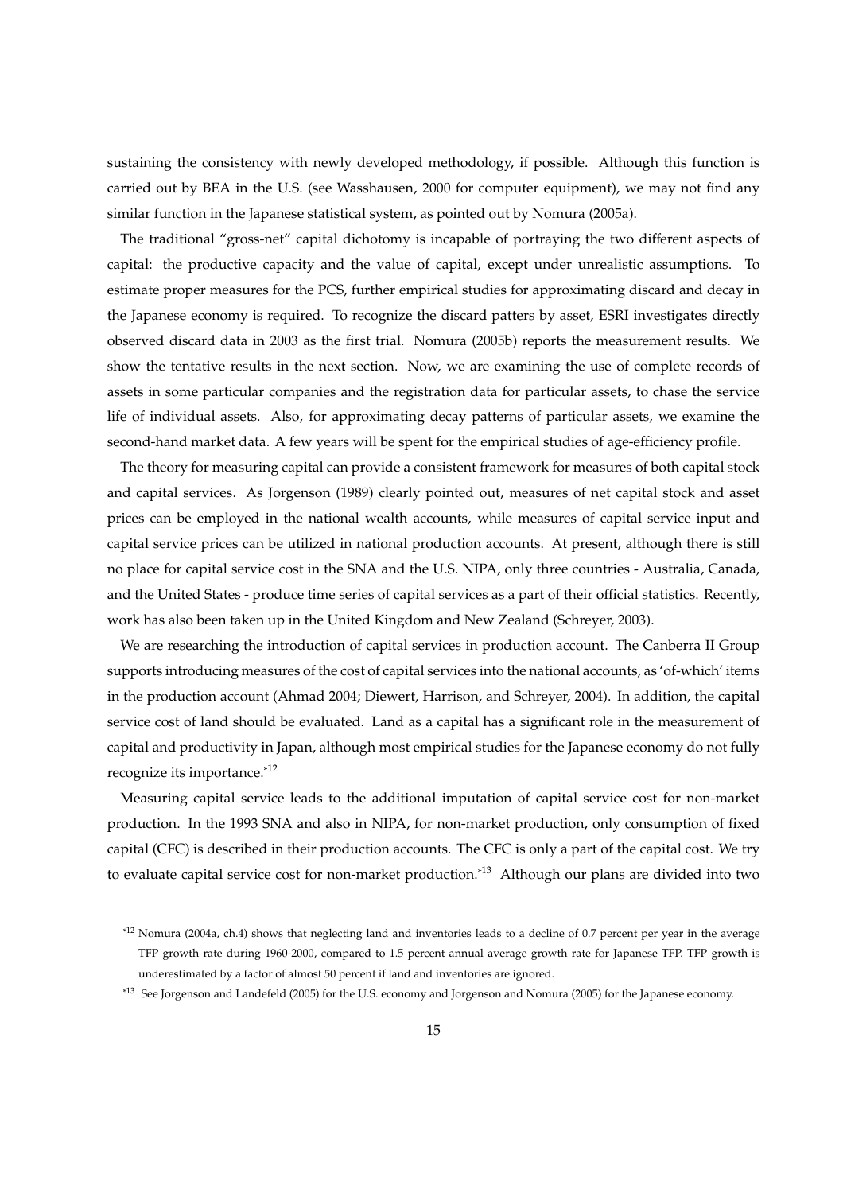sustaining the consistency with newly developed methodology, if possible. Although this function is carried out by BEA in the U.S. (see Wasshausen, 2000 for computer equipment), we may not find any similar function in the Japanese statistical system, as pointed out by Nomura (2005a).

The traditional "gross-net" capital dichotomy is incapable of portraying the two different aspects of capital: the productive capacity and the value of capital, except under unrealistic assumptions. To estimate proper measures for the PCS, further empirical studies for approximating discard and decay in the Japanese economy is required. To recognize the discard patters by asset, ESRI investigates directly observed discard data in 2003 as the first trial. Nomura (2005b) reports the measurement results. We show the tentative results in the next section. Now, we are examining the use of complete records of assets in some particular companies and the registration data for particular assets, to chase the service life of individual assets. Also, for approximating decay patterns of particular assets, we examine the second-hand market data. A few years will be spent for the empirical studies of age-efficiency profile.

The theory for measuring capital can provide a consistent framework for measures of both capital stock and capital services. As Jorgenson (1989) clearly pointed out, measures of net capital stock and asset prices can be employed in the national wealth accounts, while measures of capital service input and capital service prices can be utilized in national production accounts. At present, although there is still no place for capital service cost in the SNA and the U.S. NIPA, only three countries - Australia, Canada, and the United States - produce time series of capital services as a part of their official statistics. Recently, work has also been taken up in the United Kingdom and New Zealand (Schreyer, 2003).

We are researching the introduction of capital services in production account. The Canberra II Group supports introducing measures of the cost of capital services into the national accounts, as 'of-which' items in the production account (Ahmad 2004; Diewert, Harrison, and Schreyer, 2004). In addition, the capital service cost of land should be evaluated. Land as a capital has a significant role in the measurement of capital and productivity in Japan, although most empirical studies for the Japanese economy do not fully recognize its importance.\*12

Measuring capital service leads to the additional imputation of capital service cost for non-market production. In the 1993 SNA and also in NIPA, for non-market production, only consumption of fixed capital (CFC) is described in their production accounts. The CFC is only a part of the capital cost. We try to evaluate capital service cost for non-market production.<sup>\*13</sup> Although our plans are divided into two

<sup>\*12</sup> Nomura (2004a, ch.4) shows that neglecting land and inventories leads to a decline of 0.7 percent per year in the average TFP growth rate during 1960-2000, compared to 1.5 percent annual average growth rate for Japanese TFP. TFP growth is underestimated by a factor of almost 50 percent if land and inventories are ignored.

<sup>\*13</sup> See Jorgenson and Landefeld (2005) for the U.S. economy and Jorgenson and Nomura (2005) for the Japanese economy.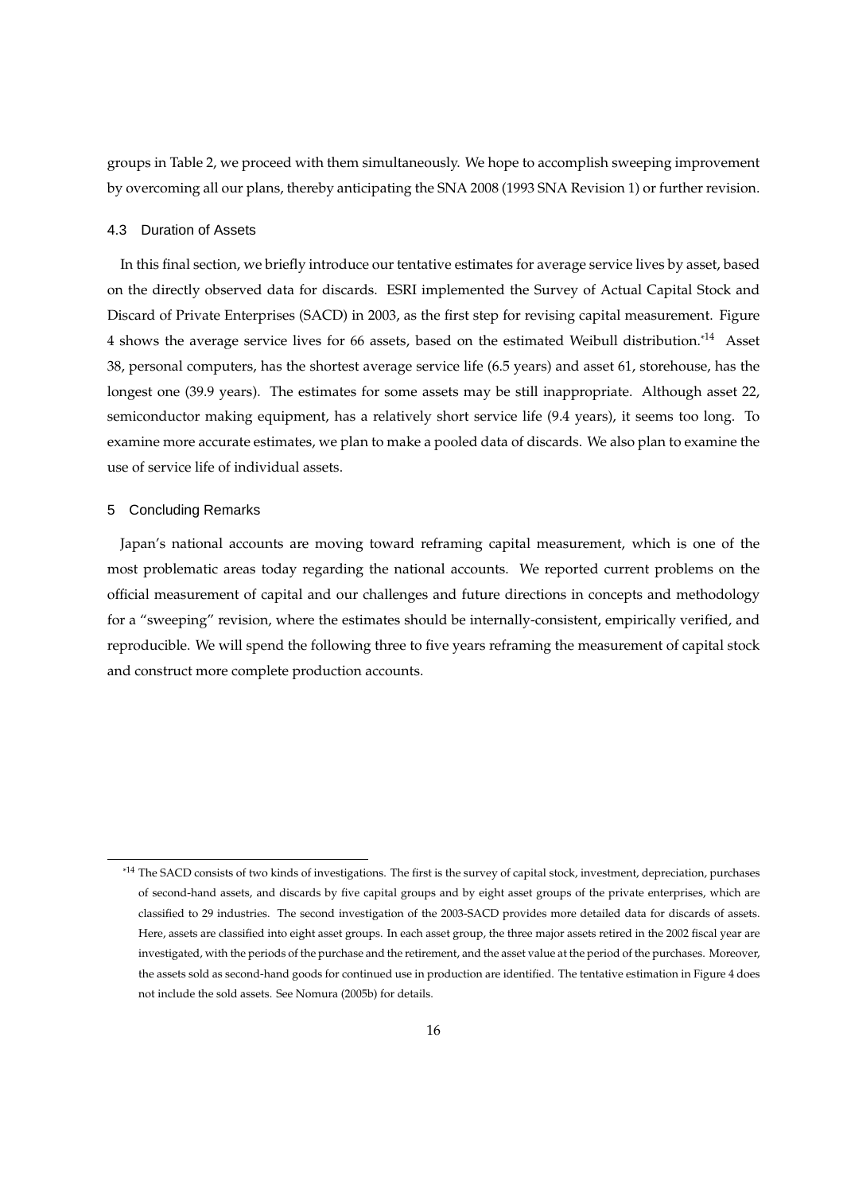groups in Table 2, we proceed with them simultaneously. We hope to accomplish sweeping improvement by overcoming all our plans, thereby anticipating the SNA 2008 (1993 SNA Revision 1) or further revision.

#### 4.3 Duration of Assets

In this final section, we briefly introduce our tentative estimates for average service lives by asset, based on the directly observed data for discards. ESRI implemented the Survey of Actual Capital Stock and Discard of Private Enterprises (SACD) in 2003, as the first step for revising capital measurement. Figure 4 shows the average service lives for 66 assets, based on the estimated Weibull distribution.\*14 Asset 38, personal computers, has the shortest average service life (6.5 years) and asset 61, storehouse, has the longest one (39.9 years). The estimates for some assets may be still inappropriate. Although asset 22, semiconductor making equipment, has a relatively short service life (9.4 years), it seems too long. To examine more accurate estimates, we plan to make a pooled data of discards. We also plan to examine the use of service life of individual assets.

#### 5 Concluding Remarks

Japan's national accounts are moving toward reframing capital measurement, which is one of the most problematic areas today regarding the national accounts. We reported current problems on the official measurement of capital and our challenges and future directions in concepts and methodology for a "sweeping" revision, where the estimates should be internally-consistent, empirically verified, and reproducible. We will spend the following three to five years reframing the measurement of capital stock and construct more complete production accounts.

<sup>\*&</sup>lt;sup>14</sup> The SACD consists of two kinds of investigations. The first is the survey of capital stock, investment, depreciation, purchases of second-hand assets, and discards by five capital groups and by eight asset groups of the private enterprises, which are classified to 29 industries. The second investigation of the 2003-SACD provides more detailed data for discards of assets. Here, assets are classified into eight asset groups. In each asset group, the three major assets retired in the 2002 fiscal year are investigated, with the periods of the purchase and the retirement, and the asset value at the period of the purchases. Moreover, the assets sold as second-hand goods for continued use in production are identified. The tentative estimation in Figure 4 does not include the sold assets. See Nomura (2005b) for details.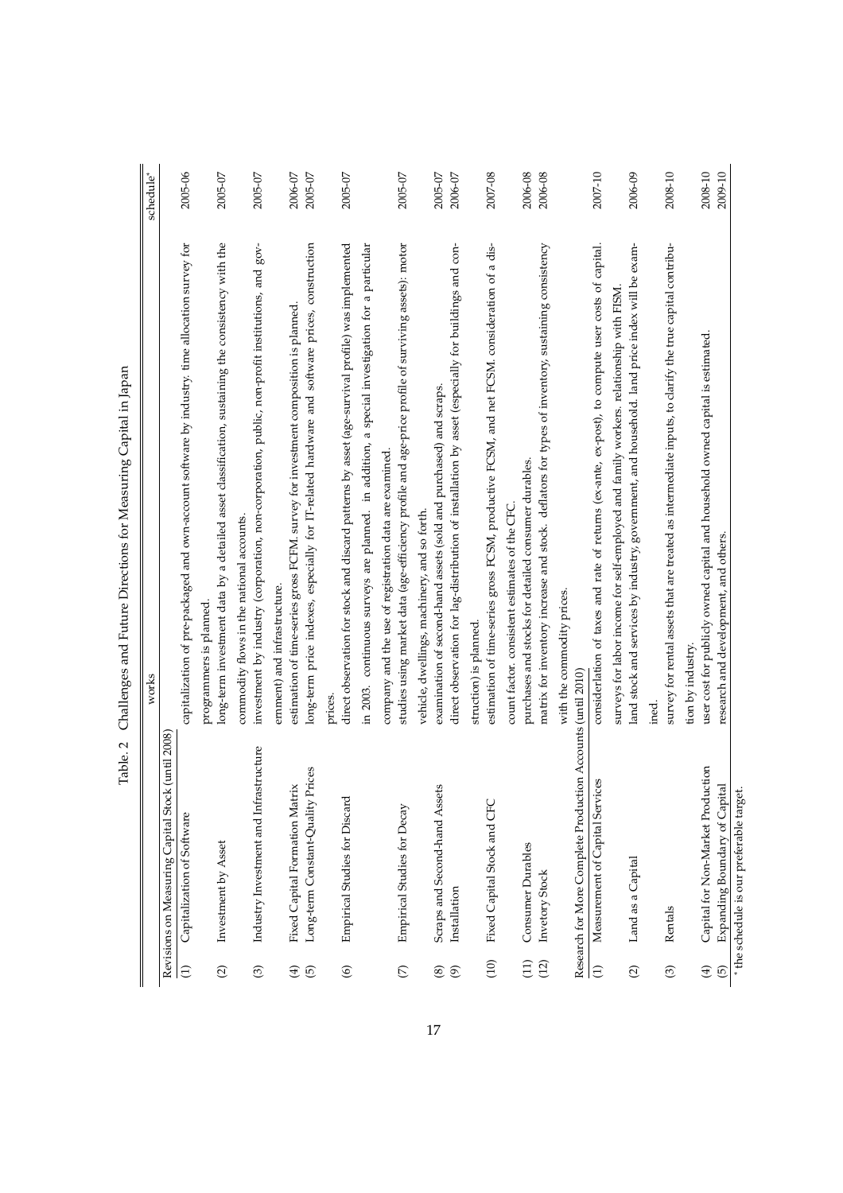|                                 |                                                                        | o<br>works<br>o                                                                                                                                                                                                           | schedule <sup>*</sup> |
|---------------------------------|------------------------------------------------------------------------|---------------------------------------------------------------------------------------------------------------------------------------------------------------------------------------------------------------------------|-----------------------|
|                                 | Revisions on Measuring Capital Stock (until 2008)                      |                                                                                                                                                                                                                           |                       |
| $\ominus$                       | Capitalization of Software                                             | capitalization of pre-packaged and own-account software by industry. time allocation survey for                                                                                                                           | 2005-06               |
| $\odot$                         | Investment by Asset                                                    | long-term investment data by a detailed asset classification, sustaining the consistency with the<br>programmers is planned.                                                                                              | 2005-07               |
| ල                               | Industry Investment and Infrastructure                                 | investment by industry (corporation, non-corporation, public, non-profit institutions, and gov-<br>commodity flows in the national accounts.                                                                              | 2005-07               |
| $\odot$<br>$\bigoplus$          | Prices<br>Fixed Capital Formation Matrix<br>Long-term Constant-Quality | long-term price indexes, especially for IT-related hardware and software prices, construction<br>estimation of time-series gross FCFM. survey for investment composition is planned.<br>ernment) and infrastructure.      | 2005-07<br>2006-07    |
| $\circledcirc$                  | Empirical Studies for Discard                                          | direct observation for stock and discard patterns by asset (age-survival profile) was implemented<br>prices.                                                                                                              | 2005-07               |
|                                 |                                                                        | in 2003. continuous surveys are planned. in addition, a special investigation for a particular                                                                                                                            |                       |
| E                               | Empirical Studies for Decay                                            | studies using market data (age-efficiency profile and age-price profile of surviving assets): motor<br>company and the use of registration data are examined.                                                             | 2005-07               |
| $\circledcirc$<br>$\circledast$ | Scraps and Second-hand Assets<br>Installation                          | direct observation for lag-distribution of installation by asset (especially for buildings and con-<br>examination of second-hand assets (sold and purchased) and scraps.<br>vehicle, dwellings, machinery, and so forth. | 2006-07<br>2005-07    |
| (10)                            | Fixed Capital Stock and CFC                                            | estimation of time-series gross FCSM, productive FCSM, and net FCSM. consideration of a dis-<br>struction) is planned.                                                                                                    | 2007-08               |
| (11)<br>(12)                    | Consumer Durables<br>Invetory Stock                                    | matrix for inventory increase and stock. deflators for types of inventory, sustaining consistency<br>purchases and stocks for detailed consumer durables.<br>count factor. consistent estimates of the CFC                | 2006-08<br>2006-08    |
|                                 | Research for More Complete Production Accounts (until 2010)            | with the commodity prices.                                                                                                                                                                                                |                       |
| $\ominus$                       | ices<br>Measurement of Capital Servi                                   | considerlation of taxes and rate of returns (ex-ante, ex-post), to compute user costs of capital.                                                                                                                         | 2007-10               |
| $\odot$                         | Land as a Capital                                                      | land stock and services by industry, government, and household. land price index will be exam-<br>surveys for labor income for self-employed and family workers. relationship with FISM.                                  | 2006-09               |
| $\odot$                         | Rentals                                                                | survey for rental assets that are treated as intermediate inputs, to clarify the true capital contribu-<br>ined.                                                                                                          | 2008-10               |
| $\bigoplus$<br>$\overline{5}$   | Capital for Non-Market Production<br>Expanding Boundary of Capital     | user cost for publicly owned capital and household owned capital is estimated.<br>research and development, and others.<br>tion by industry.                                                                              | 2008-10<br>2009-10    |
|                                 | * the schedule is our preferable target.                               |                                                                                                                                                                                                                           |                       |

Table. 2 Challenges and Future Directions for Measuring Capital in Japan Table. 2 Challenges and Future Directions for Measuring Capital in Japan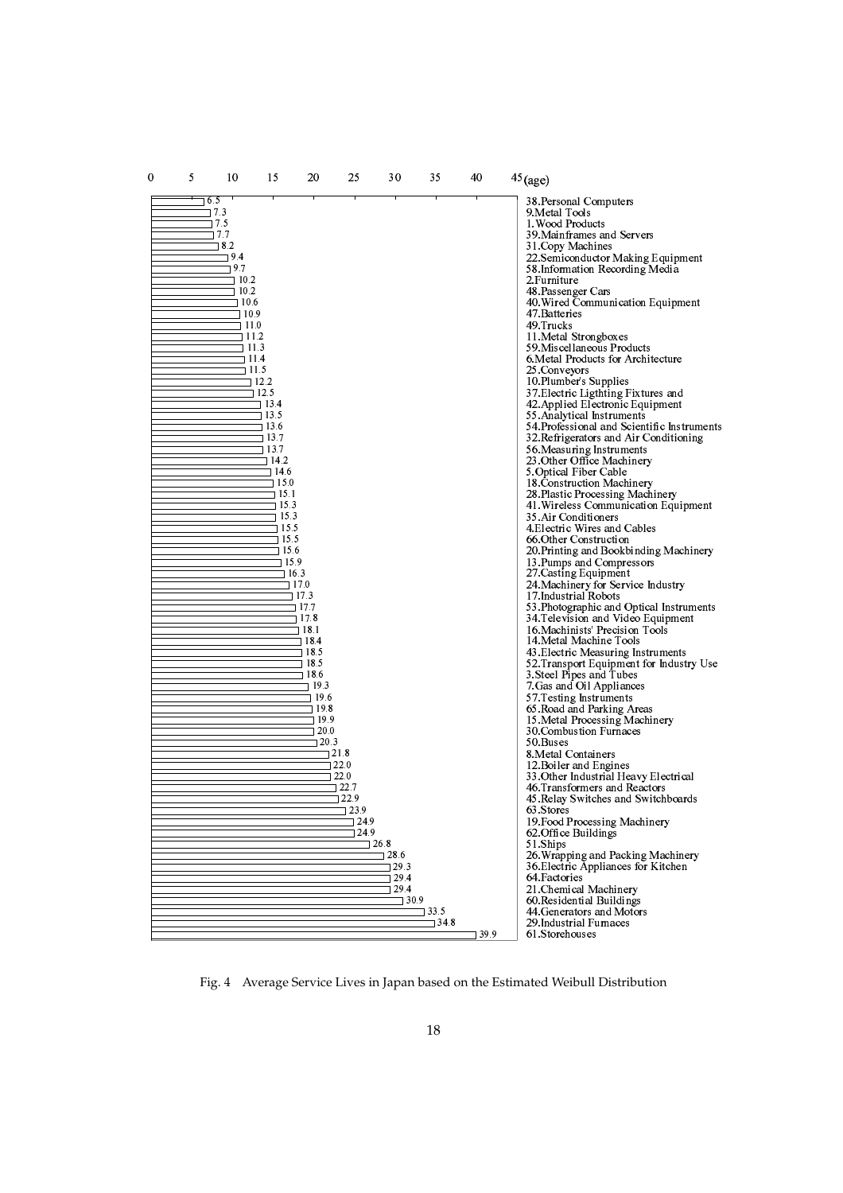

Fig. 4 Average Service Lives in Japan based on the Estimated Weibull Distribution